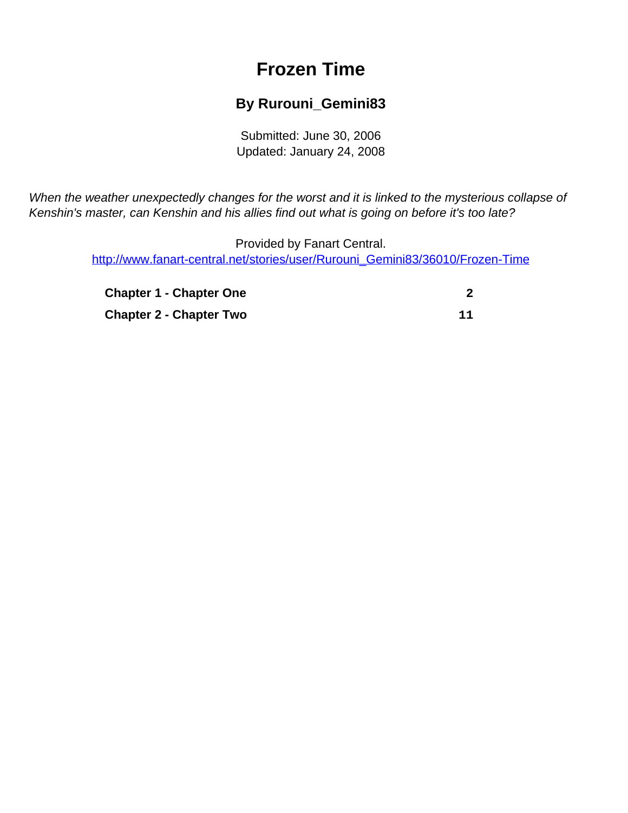# **Frozen Time**

### **By Rurouni\_Gemini83**

Submitted: June 30, 2006 Updated: January 24, 2008

<span id="page-0-0"></span>When the weather unexpectedly changes for the worst and it is linked to the mysterious collapse of Kenshin's master, can Kenshin and his allies find out what is going on before it's too late?

> Provided by Fanart Central. [http://www.fanart-central.net/stories/user/Rurouni\\_Gemini83/36010/Frozen-Time](#page-0-0)

| <b>Chapter 1 - Chapter One</b> |    |
|--------------------------------|----|
| <b>Chapter 2 - Chapter Two</b> | 11 |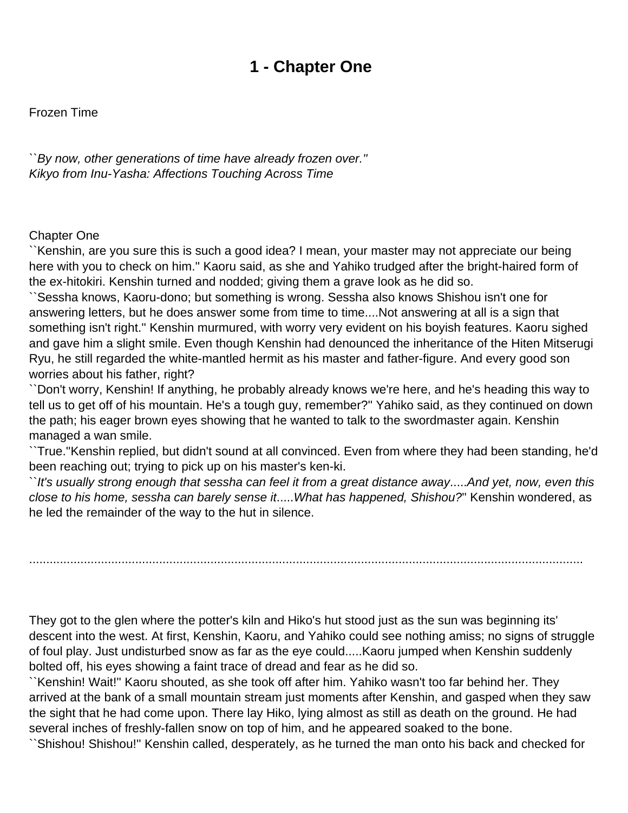### **1 - Chapter One**

<span id="page-1-0"></span>Frozen Time

``By now, other generations of time have already frozen over.'' Kikyo from Inu-Yasha: Affections Touching Across Time

#### Chapter One

``Kenshin, are you sure this is such a good idea? I mean, your master may not appreciate our being here with you to check on him.'' Kaoru said, as she and Yahiko trudged after the bright-haired form of the ex-hitokiri. Kenshin turned and nodded; giving them a grave look as he did so.

``Sessha knows, Kaoru-dono; but something is wrong. Sessha also knows Shishou isn't one for answering letters, but he does answer some from time to time....Not answering at all is a sign that something isn't right.'' Kenshin murmured, with worry very evident on his boyish features. Kaoru sighed and gave him a slight smile. Even though Kenshin had denounced the inheritance of the Hiten Mitserugi Ryu, he still regarded the white-mantled hermit as his master and father-figure. And every good son worries about his father, right?

``Don't worry, Kenshin! If anything, he probably already knows we're here, and he's heading this way to tell us to get off of his mountain. He's a tough guy, remember?'' Yahiko said, as they continued on down the path; his eager brown eyes showing that he wanted to talk to the swordmaster again. Kenshin managed a wan smile.

``True.''Kenshin replied, but didn't sound at all convinced. Even from where they had been standing, he'd been reaching out; trying to pick up on his master's ken-ki.

``It's usually strong enough that sessha can feel it from a great distance away.....And yet, now, even this close to his home, sessha can barely sense it.....What has happened, Shishou?'' Kenshin wondered, as he led the remainder of the way to the hut in silence.

..................................................................................................................................................................

They got to the glen where the potter's kiln and Hiko's hut stood just as the sun was beginning its' descent into the west. At first, Kenshin, Kaoru, and Yahiko could see nothing amiss; no signs of struggle of foul play. Just undisturbed snow as far as the eye could.....Kaoru jumped when Kenshin suddenly bolted off, his eyes showing a faint trace of dread and fear as he did so.

``Kenshin! Wait!'' Kaoru shouted, as she took off after him. Yahiko wasn't too far behind her. They arrived at the bank of a small mountain stream just moments after Kenshin, and gasped when they saw the sight that he had come upon. There lay Hiko, lying almost as still as death on the ground. He had several inches of freshly-fallen snow on top of him, and he appeared soaked to the bone.

``Shishou! Shishou!'' Kenshin called, desperately, as he turned the man onto his back and checked for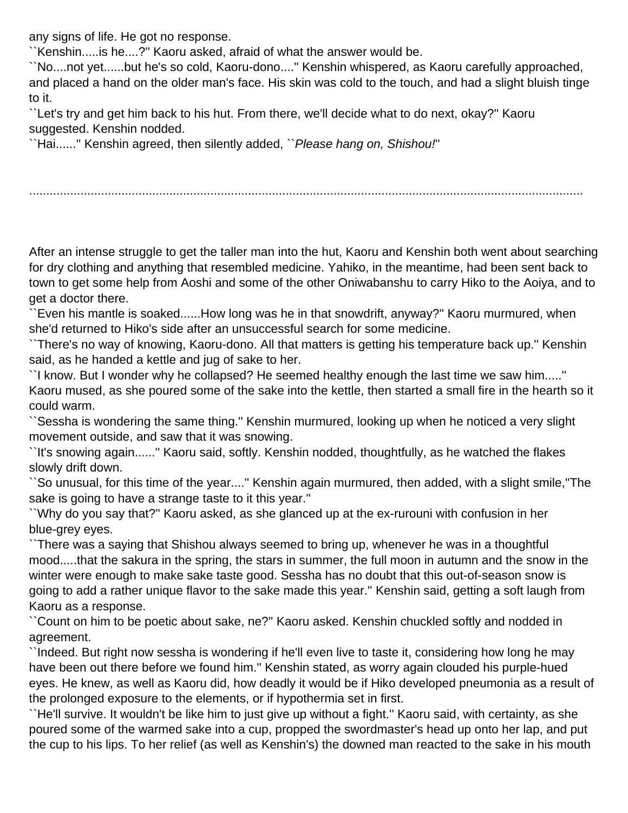any signs of life. He got no response.

``Kenshin.....is he....?'' Kaoru asked, afraid of what the answer would be.

``No....not yet......but he's so cold, Kaoru-dono....'' Kenshin whispered, as Kaoru carefully approached, and placed a hand on the older man's face. His skin was cold to the touch, and had a slight bluish tinge to it.

``Let's try and get him back to his hut. From there, we'll decide what to do next, okay?'' Kaoru suggested. Kenshin nodded.

``Hai......'' Kenshin agreed, then silently added, ``Please hang on, Shishou!''

..................................................................................................................................................................

After an intense struggle to get the taller man into the hut, Kaoru and Kenshin both went about searching for dry clothing and anything that resembled medicine. Yahiko, in the meantime, had been sent back to town to get some help from Aoshi and some of the other Oniwabanshu to carry Hiko to the Aoiya, and to get a doctor there.

``Even his mantle is soaked......How long was he in that snowdrift, anyway?'' Kaoru murmured, when she'd returned to Hiko's side after an unsuccessful search for some medicine.

``There's no way of knowing, Kaoru-dono. All that matters is getting his temperature back up.'' Kenshin said, as he handed a kettle and jug of sake to her.

``I know. But I wonder why he collapsed? He seemed healthy enough the last time we saw him.....'' Kaoru mused, as she poured some of the sake into the kettle, then started a small fire in the hearth so it could warm.

``Sessha is wondering the same thing.'' Kenshin murmured, looking up when he noticed a very slight movement outside, and saw that it was snowing.

``It's snowing again......'' Kaoru said, softly. Kenshin nodded, thoughtfully, as he watched the flakes slowly drift down.

``So unusual, for this time of the year....'' Kenshin again murmured, then added, with a slight smile,''The sake is going to have a strange taste to it this year.''

``Why do you say that?'' Kaoru asked, as she glanced up at the ex-rurouni with confusion in her blue-grey eyes.

``There was a saying that Shishou always seemed to bring up, whenever he was in a thoughtful mood.....that the sakura in the spring, the stars in summer, the full moon in autumn and the snow in the winter were enough to make sake taste good. Sessha has no doubt that this out-of-season snow is going to add a rather unique flavor to the sake made this year.'' Kenshin said, getting a soft laugh from Kaoru as a response.

``Count on him to be poetic about sake, ne?'' Kaoru asked. Kenshin chuckled softly and nodded in agreement.

``Indeed. But right now sessha is wondering if he'll even live to taste it, considering how long he may have been out there before we found him.'' Kenshin stated, as worry again clouded his purple-hued eyes. He knew, as well as Kaoru did, how deadly it would be if Hiko developed pneumonia as a result of the prolonged exposure to the elements, or if hypothermia set in first.

``He'll survive. It wouldn't be like him to just give up without a fight.'' Kaoru said, with certainty, as she poured some of the warmed sake into a cup, propped the swordmaster's head up onto her lap, and put the cup to his lips. To her relief (as well as Kenshin's) the downed man reacted to the sake in his mouth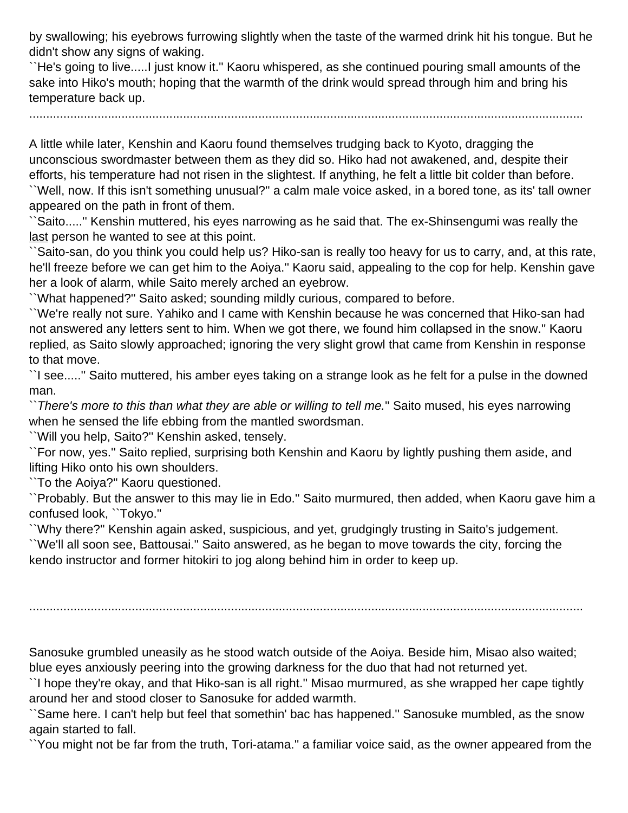by swallowing; his eyebrows furrowing slightly when the taste of the warmed drink hit his tongue. But he didn't show any signs of waking.

``He's going to live.....I just know it.'' Kaoru whispered, as she continued pouring small amounts of the sake into Hiko's mouth; hoping that the warmth of the drink would spread through him and bring his temperature back up.

..................................................................................................................................................................

A little while later, Kenshin and Kaoru found themselves trudging back to Kyoto, dragging the unconscious swordmaster between them as they did so. Hiko had not awakened, and, despite their efforts, his temperature had not risen in the slightest. If anything, he felt a little bit colder than before. ``Well, now. If this isn't something unusual?'' a calm male voice asked, in a bored tone, as its' tall owner

appeared on the path in front of them.

``Saito.....'' Kenshin muttered, his eyes narrowing as he said that. The ex-Shinsengumi was really the last person he wanted to see at this point.

``Saito-san, do you think you could help us? Hiko-san is really too heavy for us to carry, and, at this rate, he'll freeze before we can get him to the Aoiya.'' Kaoru said, appealing to the cop for help. Kenshin gave her a look of alarm, while Saito merely arched an eyebrow.

``What happened?'' Saito asked; sounding mildly curious, compared to before.

``We're really not sure. Yahiko and I came with Kenshin because he was concerned that Hiko-san had not answered any letters sent to him. When we got there, we found him collapsed in the snow.'' Kaoru replied, as Saito slowly approached; ignoring the very slight growl that came from Kenshin in response to that move.

``I see.....'' Saito muttered, his amber eyes taking on a strange look as he felt for a pulse in the downed man.

``There's more to this than what they are able or willing to tell me.'' Saito mused, his eyes narrowing when he sensed the life ebbing from the mantled swordsman.

``Will you help, Saito?'' Kenshin asked, tensely.

``For now, yes.'' Saito replied, surprising both Kenshin and Kaoru by lightly pushing them aside, and lifting Hiko onto his own shoulders.

``To the Aoiya?'' Kaoru questioned.

``Probably. But the answer to this may lie in Edo.'' Saito murmured, then added, when Kaoru gave him a confused look, ``Tokyo.''

``Why there?'' Kenshin again asked, suspicious, and yet, grudgingly trusting in Saito's judgement.

``We'll all soon see, Battousai.'' Saito answered, as he began to move towards the city, forcing the kendo instructor and former hitokiri to jog along behind him in order to keep up.

..................................................................................................................................................................

Sanosuke grumbled uneasily as he stood watch outside of the Aoiya. Beside him, Misao also waited; blue eyes anxiously peering into the growing darkness for the duo that had not returned yet.

``I hope they're okay, and that Hiko-san is all right.'' Misao murmured, as she wrapped her cape tightly around her and stood closer to Sanosuke for added warmth.

``Same here. I can't help but feel that somethin' bac has happened.'' Sanosuke mumbled, as the snow again started to fall.

``You might not be far from the truth, Tori-atama.'' a familiar voice said, as the owner appeared from the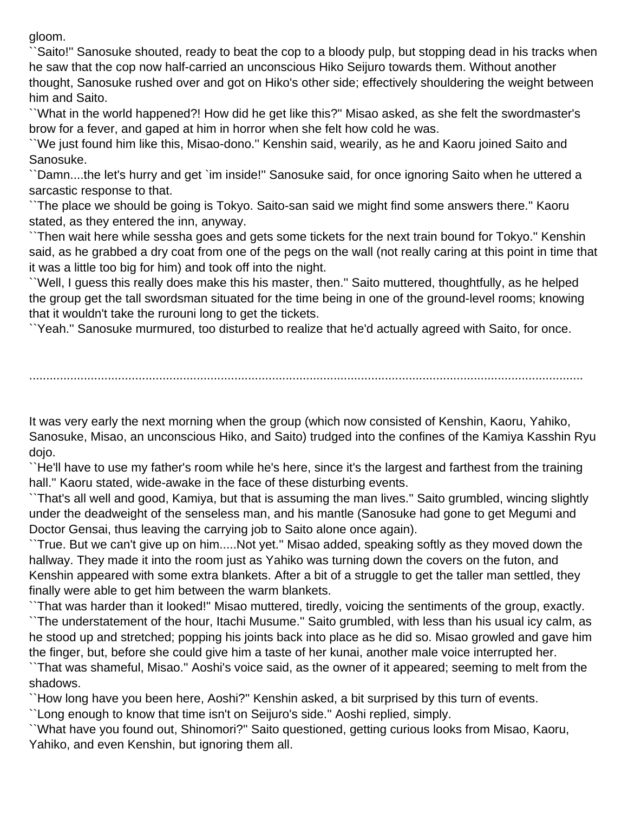gloom.

``Saito!'' Sanosuke shouted, ready to beat the cop to a bloody pulp, but stopping dead in his tracks when he saw that the cop now half-carried an unconscious Hiko Seijuro towards them. Without another thought, Sanosuke rushed over and got on Hiko's other side; effectively shouldering the weight between him and Saito.

``What in the world happened?! How did he get like this?'' Misao asked, as she felt the swordmaster's brow for a fever, and gaped at him in horror when she felt how cold he was.

``We just found him like this, Misao-dono.'' Kenshin said, wearily, as he and Kaoru joined Saito and Sanosuke.

``Damn....the let's hurry and get `im inside!'' Sanosuke said, for once ignoring Saito when he uttered a sarcastic response to that.

``The place we should be going is Tokyo. Saito-san said we might find some answers there.'' Kaoru stated, as they entered the inn, anyway.

``Then wait here while sessha goes and gets some tickets for the next train bound for Tokyo.'' Kenshin said, as he grabbed a dry coat from one of the pegs on the wall (not really caring at this point in time that it was a little too big for him) and took off into the night.

``Well, I guess this really does make this his master, then.'' Saito muttered, thoughtfully, as he helped the group get the tall swordsman situated for the time being in one of the ground-level rooms; knowing that it wouldn't take the rurouni long to get the tickets.

``Yeah.'' Sanosuke murmured, too disturbed to realize that he'd actually agreed with Saito, for once.

..................................................................................................................................................................

It was very early the next morning when the group (which now consisted of Kenshin, Kaoru, Yahiko, Sanosuke, Misao, an unconscious Hiko, and Saito) trudged into the confines of the Kamiya Kasshin Ryu dojo.

``He'll have to use my father's room while he's here, since it's the largest and farthest from the training hall.'' Kaoru stated, wide-awake in the face of these disturbing events.

``That's all well and good, Kamiya, but that is assuming the man lives.'' Saito grumbled, wincing slightly under the deadweight of the senseless man, and his mantle (Sanosuke had gone to get Megumi and Doctor Gensai, thus leaving the carrying job to Saito alone once again).

``True. But we can't give up on him.....Not yet.'' Misao added, speaking softly as they moved down the hallway. They made it into the room just as Yahiko was turning down the covers on the futon, and Kenshin appeared with some extra blankets. After a bit of a struggle to get the taller man settled, they finally were able to get him between the warm blankets.

``That was harder than it looked!'' Misao muttered, tiredly, voicing the sentiments of the group, exactly. ``The understatement of the hour, Itachi Musume.'' Saito grumbled, with less than his usual icy calm, as he stood up and stretched; popping his joints back into place as he did so. Misao growled and gave him the finger, but, before she could give him a taste of her kunai, another male voice interrupted her.

``That was shameful, Misao.'' Aoshi's voice said, as the owner of it appeared; seeming to melt from the shadows.

``How long have you been here, Aoshi?'' Kenshin asked, a bit surprised by this turn of events.

``Long enough to know that time isn't on Seijuro's side.'' Aoshi replied, simply.

``What have you found out, Shinomori?'' Saito questioned, getting curious looks from Misao, Kaoru, Yahiko, and even Kenshin, but ignoring them all.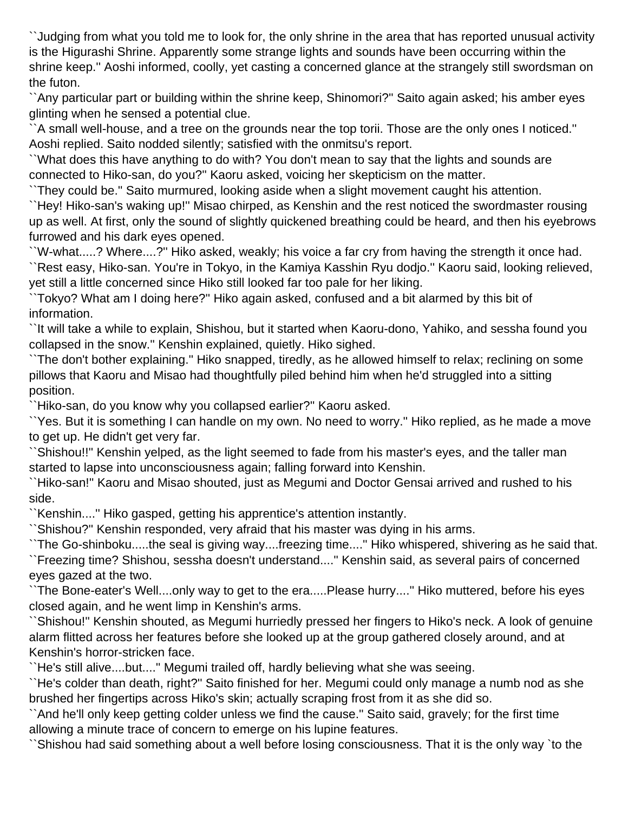``Judging from what you told me to look for, the only shrine in the area that has reported unusual activity is the Higurashi Shrine. Apparently some strange lights and sounds have been occurring within the shrine keep.'' Aoshi informed, coolly, yet casting a concerned glance at the strangely still swordsman on the futon.

``Any particular part or building within the shrine keep, Shinomori?'' Saito again asked; his amber eyes glinting when he sensed a potential clue.

``A small well-house, and a tree on the grounds near the top torii. Those are the only ones I noticed.'' Aoshi replied. Saito nodded silently; satisfied with the onmitsu's report.

``What does this have anything to do with? You don't mean to say that the lights and sounds are connected to Hiko-san, do you?'' Kaoru asked, voicing her skepticism on the matter.

``They could be.'' Saito murmured, looking aside when a slight movement caught his attention.

``Hey! Hiko-san's waking up!'' Misao chirped, as Kenshin and the rest noticed the swordmaster rousing up as well. At first, only the sound of slightly quickened breathing could be heard, and then his eyebrows furrowed and his dark eyes opened.

``W-what.....? Where....?'' Hiko asked, weakly; his voice a far cry from having the strength it once had. ``Rest easy, Hiko-san. You're in Tokyo, in the Kamiya Kasshin Ryu dodjo.'' Kaoru said, looking relieved, yet still a little concerned since Hiko still looked far too pale for her liking.

``Tokyo? What am I doing here?'' Hiko again asked, confused and a bit alarmed by this bit of information.

``It will take a while to explain, Shishou, but it started when Kaoru-dono, Yahiko, and sessha found you collapsed in the snow.'' Kenshin explained, quietly. Hiko sighed.

``The don't bother explaining.'' Hiko snapped, tiredly, as he allowed himself to relax; reclining on some pillows that Kaoru and Misao had thoughtfully piled behind him when he'd struggled into a sitting position.

``Hiko-san, do you know why you collapsed earlier?'' Kaoru asked.

``Yes. But it is something I can handle on my own. No need to worry.'' Hiko replied, as he made a move to get up. He didn't get very far.

``Shishou!!'' Kenshin yelped, as the light seemed to fade from his master's eyes, and the taller man started to lapse into unconsciousness again; falling forward into Kenshin.

``Hiko-san!'' Kaoru and Misao shouted, just as Megumi and Doctor Gensai arrived and rushed to his side.

``Kenshin....'' Hiko gasped, getting his apprentice's attention instantly.

``Shishou?'' Kenshin responded, very afraid that his master was dying in his arms.

``The Go-shinboku.....the seal is giving way....freezing time....'' Hiko whispered, shivering as he said that. ``Freezing time? Shishou, sessha doesn't understand....'' Kenshin said, as several pairs of concerned eyes gazed at the two.

``The Bone-eater's Well....only way to get to the era.....Please hurry....'' Hiko muttered, before his eyes closed again, and he went limp in Kenshin's arms.

``Shishou!'' Kenshin shouted, as Megumi hurriedly pressed her fingers to Hiko's neck. A look of genuine alarm flitted across her features before she looked up at the group gathered closely around, and at Kenshin's horror-stricken face.

``He's still alive....but....'' Megumi trailed off, hardly believing what she was seeing.

``He's colder than death, right?'' Saito finished for her. Megumi could only manage a numb nod as she brushed her fingertips across Hiko's skin; actually scraping frost from it as she did so.

``And he'll only keep getting colder unless we find the cause.'' Saito said, gravely; for the first time allowing a minute trace of concern to emerge on his lupine features.

``Shishou had said something about a well before losing consciousness. That it is the only way `to the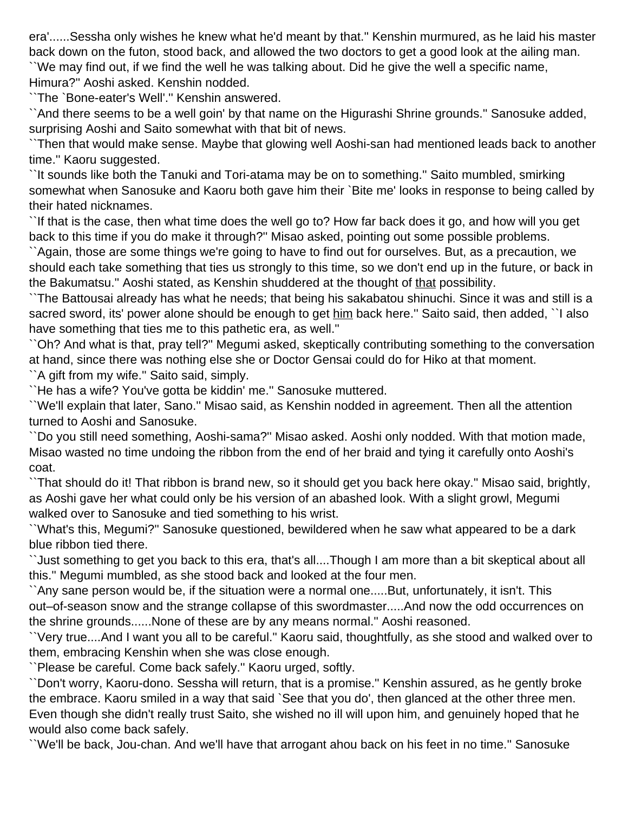era'......Sessha only wishes he knew what he'd meant by that.'' Kenshin murmured, as he laid his master back down on the futon, stood back, and allowed the two doctors to get a good look at the ailing man. ``We may find out, if we find the well he was talking about. Did he give the well a specific name, Himura?'' Aoshi asked. Kenshin nodded.

``The `Bone-eater's Well'.'' Kenshin answered.

``And there seems to be a well goin' by that name on the Higurashi Shrine grounds.'' Sanosuke added, surprising Aoshi and Saito somewhat with that bit of news.

``Then that would make sense. Maybe that glowing well Aoshi-san had mentioned leads back to another time.'' Kaoru suggested.

``It sounds like both the Tanuki and Tori-atama may be on to something.'' Saito mumbled, smirking somewhat when Sanosuke and Kaoru both gave him their `Bite me' looks in response to being called by their hated nicknames.

``If that is the case, then what time does the well go to? How far back does it go, and how will you get back to this time if you do make it through?'' Misao asked, pointing out some possible problems.

``Again, those are some things we're going to have to find out for ourselves. But, as a precaution, we should each take something that ties us strongly to this time, so we don't end up in the future, or back in the Bakumatsu." Aoshi stated, as Kenshin shuddered at the thought of that possibility.

``The Battousai already has what he needs; that being his sakabatou shinuchi. Since it was and still is a sacred sword, its' power alone should be enough to get him back here." Saito said, then added, "I also have something that ties me to this pathetic era, as well.''

``Oh? And what is that, pray tell?'' Megumi asked, skeptically contributing something to the conversation at hand, since there was nothing else she or Doctor Gensai could do for Hiko at that moment.

``A gift from my wife.'' Saito said, simply.

``He has a wife? You've gotta be kiddin' me.'' Sanosuke muttered.

``We'll explain that later, Sano.'' Misao said, as Kenshin nodded in agreement. Then all the attention turned to Aoshi and Sanosuke.

``Do you still need something, Aoshi-sama?'' Misao asked. Aoshi only nodded. With that motion made, Misao wasted no time undoing the ribbon from the end of her braid and tying it carefully onto Aoshi's coat.

``That should do it! That ribbon is brand new, so it should get you back here okay.'' Misao said, brightly, as Aoshi gave her what could only be his version of an abashed look. With a slight growl, Megumi walked over to Sanosuke and tied something to his wrist.

``What's this, Megumi?'' Sanosuke questioned, bewildered when he saw what appeared to be a dark blue ribbon tied there.

``Just something to get you back to this era, that's all....Though I am more than a bit skeptical about all this.'' Megumi mumbled, as she stood back and looked at the four men.

``Any sane person would be, if the situation were a normal one.....But, unfortunately, it isn't. This out–of-season snow and the strange collapse of this swordmaster.....And now the odd occurrences on the shrine grounds......None of these are by any means normal.'' Aoshi reasoned.

``Very true....And I want you all to be careful.'' Kaoru said, thoughtfully, as she stood and walked over to them, embracing Kenshin when she was close enough.

``Please be careful. Come back safely.'' Kaoru urged, softly.

``Don't worry, Kaoru-dono. Sessha will return, that is a promise.'' Kenshin assured, as he gently broke the embrace. Kaoru smiled in a way that said `See that you do', then glanced at the other three men. Even though she didn't really trust Saito, she wished no ill will upon him, and genuinely hoped that he would also come back safely.

``We'll be back, Jou-chan. And we'll have that arrogant ahou back on his feet in no time.'' Sanosuke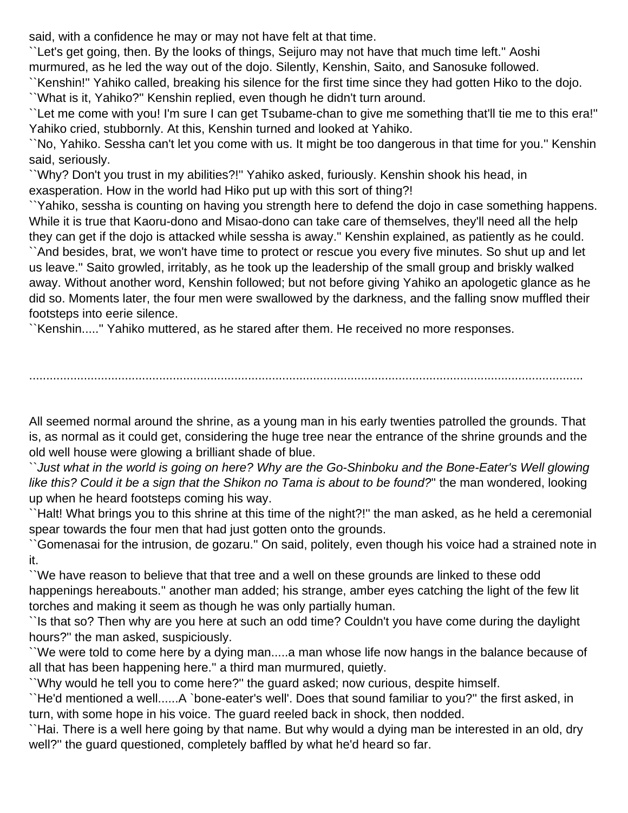said, with a confidence he may or may not have felt at that time.

``Let's get going, then. By the looks of things, Seijuro may not have that much time left.'' Aoshi murmured, as he led the way out of the dojo. Silently, Kenshin, Saito, and Sanosuke followed.

``Kenshin!'' Yahiko called, breaking his silence for the first time since they had gotten Hiko to the dojo. ``What is it, Yahiko?'' Kenshin replied, even though he didn't turn around.

``Let me come with you! I'm sure I can get Tsubame-chan to give me something that'll tie me to this era!'' Yahiko cried, stubbornly. At this, Kenshin turned and looked at Yahiko.

``No, Yahiko. Sessha can't let you come with us. It might be too dangerous in that time for you.'' Kenshin said, seriously.

``Why? Don't you trust in my abilities?!'' Yahiko asked, furiously. Kenshin shook his head, in exasperation. How in the world had Hiko put up with this sort of thing?!

``Yahiko, sessha is counting on having you strength here to defend the dojo in case something happens. While it is true that Kaoru-dono and Misao-dono can take care of themselves, they'll need all the help they can get if the dojo is attacked while sessha is away.'' Kenshin explained, as patiently as he could. ``And besides, brat, we won't have time to protect or rescue you every five minutes. So shut up and let us leave.'' Saito growled, irritably, as he took up the leadership of the small group and briskly walked away. Without another word, Kenshin followed; but not before giving Yahiko an apologetic glance as he did so. Moments later, the four men were swallowed by the darkness, and the falling snow muffled their footsteps into eerie silence.

``Kenshin.....'' Yahiko muttered, as he stared after them. He received no more responses.

All seemed normal around the shrine, as a young man in his early twenties patrolled the grounds. That is, as normal as it could get, considering the huge tree near the entrance of the shrine grounds and the old well house were glowing a brilliant shade of blue.

..................................................................................................................................................................

``Just what in the world is going on here? Why are the Go-Shinboku and the Bone-Eater's Well glowing like this? Could it be a sign that the Shikon no Tama is about to be found?" the man wondered, looking up when he heard footsteps coming his way.

``Halt! What brings you to this shrine at this time of the night?!'' the man asked, as he held a ceremonial spear towards the four men that had just gotten onto the grounds.

``Gomenasai for the intrusion, de gozaru.'' On said, politely, even though his voice had a strained note in it.

``We have reason to believe that that tree and a well on these grounds are linked to these odd happenings hereabouts.'' another man added; his strange, amber eyes catching the light of the few lit torches and making it seem as though he was only partially human.

``Is that so? Then why are you here at such an odd time? Couldn't you have come during the daylight hours?'' the man asked, suspiciously.

``We were told to come here by a dying man.....a man whose life now hangs in the balance because of all that has been happening here.'' a third man murmured, quietly.

``Why would he tell you to come here?'' the guard asked; now curious, despite himself.

``He'd mentioned a well......A `bone-eater's well'. Does that sound familiar to you?'' the first asked, in turn, with some hope in his voice. The guard reeled back in shock, then nodded.

``Hai. There is a well here going by that name. But why would a dying man be interested in an old, dry well?'' the guard questioned, completely baffled by what he'd heard so far.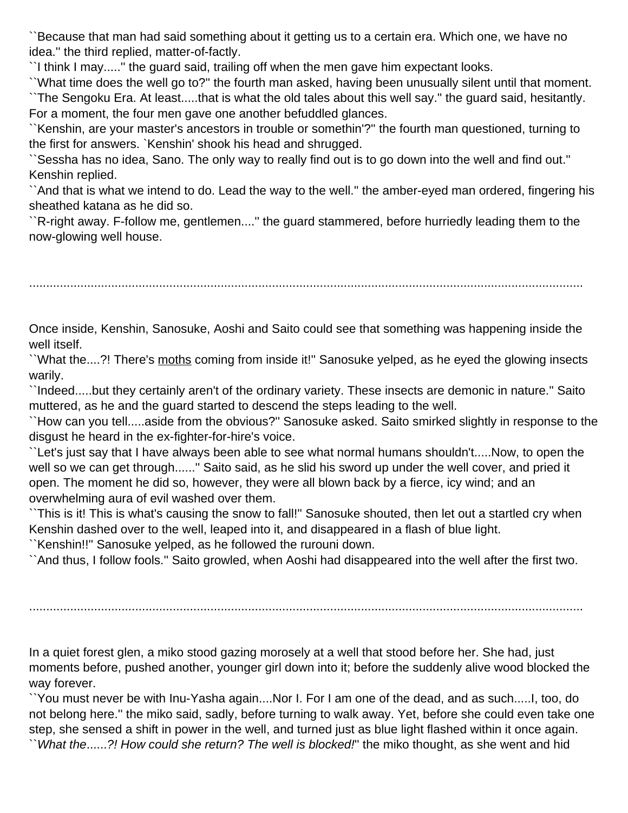``Because that man had said something about it getting us to a certain era. Which one, we have no idea.'' the third replied, matter-of-factly.

``I think I may.....'' the guard said, trailing off when the men gave him expectant looks.

``What time does the well go to?'' the fourth man asked, having been unusually silent until that moment. ``The Sengoku Era. At least.....that is what the old tales about this well say.'' the guard said, hesitantly. For a moment, the four men gave one another befuddled glances.

``Kenshin, are your master's ancestors in trouble or somethin'?'' the fourth man questioned, turning to the first for answers. `Kenshin' shook his head and shrugged.

``Sessha has no idea, Sano. The only way to really find out is to go down into the well and find out.'' Kenshin replied.

``And that is what we intend to do. Lead the way to the well.'' the amber-eyed man ordered, fingering his sheathed katana as he did so.

``R-right away. F-follow me, gentlemen....'' the guard stammered, before hurriedly leading them to the now-glowing well house.

..................................................................................................................................................................

Once inside, Kenshin, Sanosuke, Aoshi and Saito could see that something was happening inside the well itself.

``What the....?! There's moths coming from inside it!'' Sanosuke yelped, as he eyed the glowing insects warily.

``Indeed.....but they certainly aren't of the ordinary variety. These insects are demonic in nature.'' Saito muttered, as he and the guard started to descend the steps leading to the well.

``How can you tell.....aside from the obvious?'' Sanosuke asked. Saito smirked slightly in response to the disgust he heard in the ex-fighter-for-hire's voice.

``Let's just say that I have always been able to see what normal humans shouldn't.....Now, to open the well so we can get through......'' Saito said, as he slid his sword up under the well cover, and pried it open. The moment he did so, however, they were all blown back by a fierce, icy wind; and an overwhelming aura of evil washed over them.

``This is it! This is what's causing the snow to fall!'' Sanosuke shouted, then let out a startled cry when Kenshin dashed over to the well, leaped into it, and disappeared in a flash of blue light.

``Kenshin!!'' Sanosuke yelped, as he followed the rurouni down.

``And thus, I follow fools.'' Saito growled, when Aoshi had disappeared into the well after the first two.

..................................................................................................................................................................

In a quiet forest glen, a miko stood gazing morosely at a well that stood before her. She had, just moments before, pushed another, younger girl down into it; before the suddenly alive wood blocked the way forever.

``You must never be with Inu-Yasha again....Nor I. For I am one of the dead, and as such.....I, too, do not belong here.'' the miko said, sadly, before turning to walk away. Yet, before she could even take one step, she sensed a shift in power in the well, and turned just as blue light flashed within it once again. ``What the......?! How could she return? The well is blocked!'' the miko thought, as she went and hid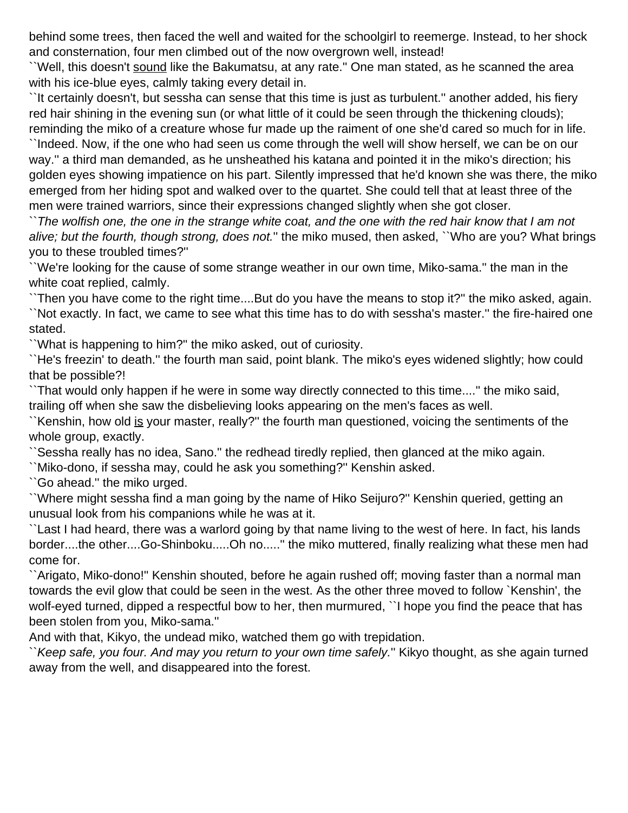behind some trees, then faced the well and waited for the schoolgirl to reemerge. Instead, to her shock and consternation, four men climbed out of the now overgrown well, instead!

``Well, this doesn't sound like the Bakumatsu, at any rate." One man stated, as he scanned the area with his ice-blue eyes, calmly taking every detail in.

``It certainly doesn't, but sessha can sense that this time is just as turbulent.'' another added, his fiery red hair shining in the evening sun (or what little of it could be seen through the thickening clouds); reminding the miko of a creature whose fur made up the raiment of one she'd cared so much for in life.

``Indeed. Now, if the one who had seen us come through the well will show herself, we can be on our way.'' a third man demanded, as he unsheathed his katana and pointed it in the miko's direction; his golden eyes showing impatience on his part. Silently impressed that he'd known she was there, the miko emerged from her hiding spot and walked over to the quartet. She could tell that at least three of the men were trained warriors, since their expressions changed slightly when she got closer.

``The wolfish one, the one in the strange white coat, and the one with the red hair know that I am not alive; but the fourth, though strong, does not." the miko mused, then asked, "Who are you? What brings you to these troubled times?''

``We're looking for the cause of some strange weather in our own time, Miko-sama.'' the man in the white coat replied, calmly.

``Then you have come to the right time....But do you have the means to stop it?'' the miko asked, again. ``Not exactly. In fact, we came to see what this time has to do with sessha's master.'' the fire-haired one stated.

``What is happening to him?'' the miko asked, out of curiosity.

``He's freezin' to death.'' the fourth man said, point blank. The miko's eyes widened slightly; how could that be possible?!

``That would only happen if he were in some way directly connected to this time....'' the miko said, trailing off when she saw the disbelieving looks appearing on the men's faces as well.

``Kenshin, how old is your master, really?'' the fourth man questioned, voicing the sentiments of the whole group, exactly.

``Sessha really has no idea, Sano.'' the redhead tiredly replied, then glanced at the miko again.

``Miko-dono, if sessha may, could he ask you something?'' Kenshin asked.

``Go ahead.'' the miko urged.

``Where might sessha find a man going by the name of Hiko Seijuro?'' Kenshin queried, getting an unusual look from his companions while he was at it.

``Last I had heard, there was a warlord going by that name living to the west of here. In fact, his lands border....the other....Go-Shinboku.....Oh no.....'' the miko muttered, finally realizing what these men had come for.

``Arigato, Miko-dono!'' Kenshin shouted, before he again rushed off; moving faster than a normal man towards the evil glow that could be seen in the west. As the other three moved to follow `Kenshin', the wolf-eyed turned, dipped a respectful bow to her, then murmured, ``I hope you find the peace that has been stolen from you, Miko-sama.''

And with that, Kikyo, the undead miko, watched them go with trepidation.

``Keep safe, you four. And may you return to your own time safely.'' Kikyo thought, as she again turned away from the well, and disappeared into the forest.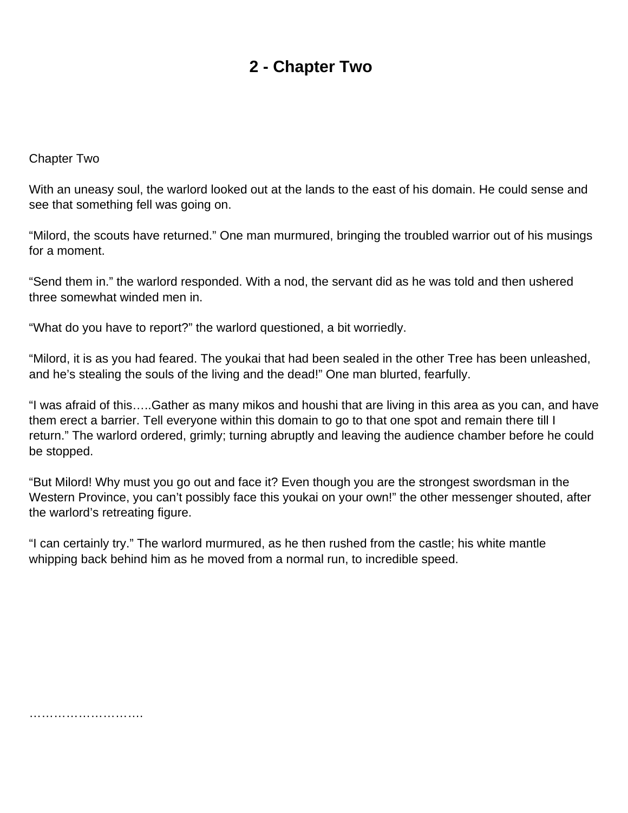## **2 - Chapter Two**

#### <span id="page-10-0"></span>Chapter Two

With an uneasy soul, the warlord looked out at the lands to the east of his domain. He could sense and see that something fell was going on.

"Milord, the scouts have returned." One man murmured, bringing the troubled warrior out of his musings for a moment.

"Send them in." the warlord responded. With a nod, the servant did as he was told and then ushered three somewhat winded men in.

"What do you have to report?" the warlord questioned, a bit worriedly.

"Milord, it is as you had feared. The youkai that had been sealed in the other Tree has been unleashed, and he's stealing the souls of the living and the dead!" One man blurted, fearfully.

"I was afraid of this…..Gather as many mikos and houshi that are living in this area as you can, and have them erect a barrier. Tell everyone within this domain to go to that one spot and remain there till I return." The warlord ordered, grimly; turning abruptly and leaving the audience chamber before he could be stopped.

"But Milord! Why must you go out and face it? Even though you are the strongest swordsman in the Western Province, you can't possibly face this youkai on your own!" the other messenger shouted, after the warlord's retreating figure.

"I can certainly try." The warlord murmured, as he then rushed from the castle; his white mantle whipping back behind him as he moved from a normal run, to incredible speed.

……………………….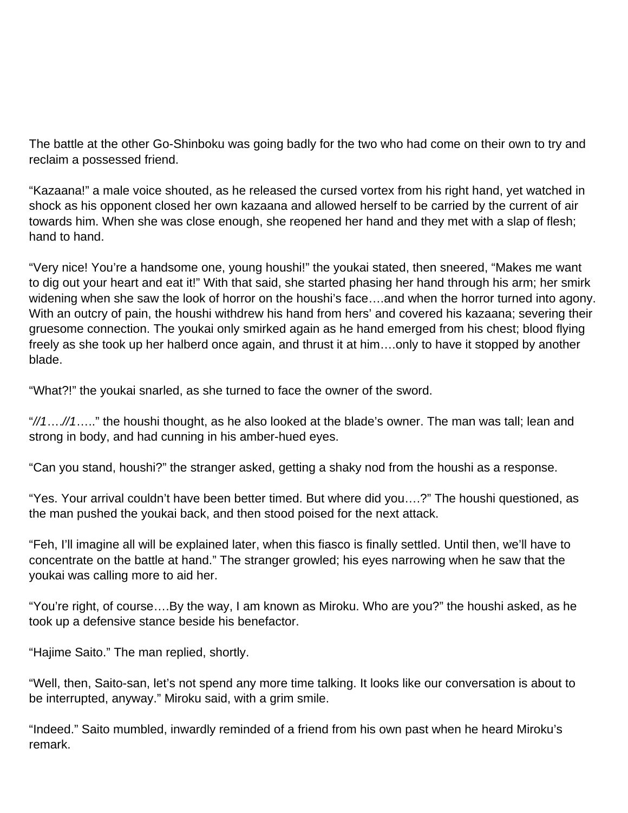The battle at the other Go-Shinboku was going badly for the two who had come on their own to try and reclaim a possessed friend.

"Kazaana!" a male voice shouted, as he released the cursed vortex from his right hand, yet watched in shock as his opponent closed her own kazaana and allowed herself to be carried by the current of air towards him. When she was close enough, she reopened her hand and they met with a slap of flesh; hand to hand.

"Very nice! You're a handsome one, young houshi!" the youkai stated, then sneered, "Makes me want to dig out your heart and eat it!" With that said, she started phasing her hand through his arm; her smirk widening when she saw the look of horror on the houshi's face….and when the horror turned into agony. With an outcry of pain, the houshi withdrew his hand from hers' and covered his kazaana; severing their gruesome connection. The youkai only smirked again as he hand emerged from his chest; blood flying freely as she took up her halberd once again, and thrust it at him….only to have it stopped by another blade.

"What?!" the youkai snarled, as she turned to face the owner of the sword.

"//1….//1….." the houshi thought, as he also looked at the blade's owner. The man was tall; lean and strong in body, and had cunning in his amber-hued eyes.

"Can you stand, houshi?" the stranger asked, getting a shaky nod from the houshi as a response.

"Yes. Your arrival couldn't have been better timed. But where did you….?" The houshi questioned, as the man pushed the youkai back, and then stood poised for the next attack.

"Feh, I'll imagine all will be explained later, when this fiasco is finally settled. Until then, we'll have to concentrate on the battle at hand." The stranger growled; his eyes narrowing when he saw that the youkai was calling more to aid her.

"You're right, of course….By the way, I am known as Miroku. Who are you?" the houshi asked, as he took up a defensive stance beside his benefactor.

"Hajime Saito." The man replied, shortly.

"Well, then, Saito-san, let's not spend any more time talking. It looks like our conversation is about to be interrupted, anyway." Miroku said, with a grim smile.

"Indeed." Saito mumbled, inwardly reminded of a friend from his own past when he heard Miroku's remark.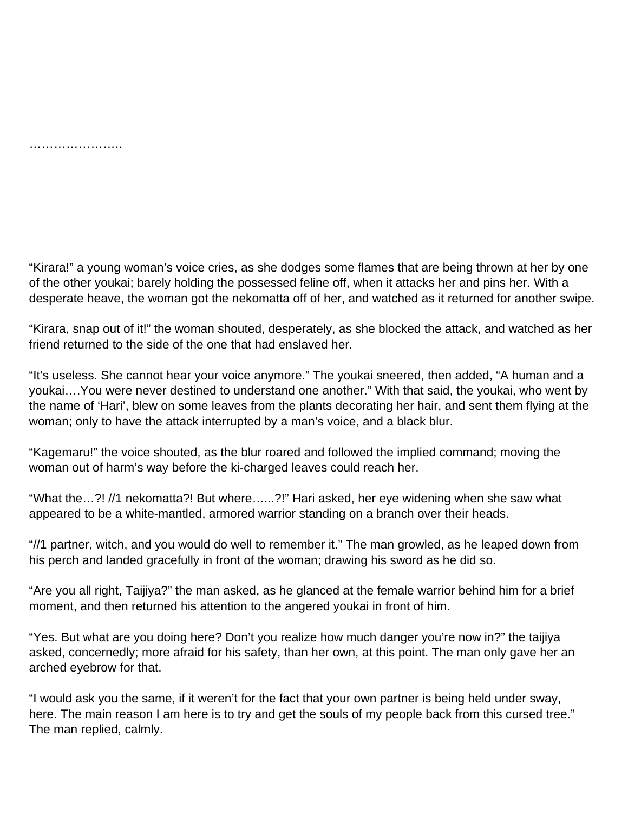………………………

"Kirara!" a young woman's voice cries, as she dodges some flames that are being thrown at her by one of the other youkai; barely holding the possessed feline off, when it attacks her and pins her. With a desperate heave, the woman got the nekomatta off of her, and watched as it returned for another swipe.

"Kirara, snap out of it!" the woman shouted, desperately, as she blocked the attack, and watched as her friend returned to the side of the one that had enslaved her.

"It's useless. She cannot hear your voice anymore." The youkai sneered, then added, "A human and a youkai….You were never destined to understand one another." With that said, the youkai, who went by the name of 'Hari', blew on some leaves from the plants decorating her hair, and sent them flying at the woman; only to have the attack interrupted by a man's voice, and a black blur.

"Kagemaru!" the voice shouted, as the blur roared and followed the implied command; moving the woman out of harm's way before the ki-charged leaves could reach her.

"What the...?!  $\frac{1}{1}$  nekomatta?! But where......?!" Hari asked, her eye widening when she saw what appeared to be a white-mantled, armored warrior standing on a branch over their heads.

" $\frac{1}{1}$  partner, witch, and you would do well to remember it." The man growled, as he leaped down from his perch and landed gracefully in front of the woman; drawing his sword as he did so.

"Are you all right, Taijiya?" the man asked, as he glanced at the female warrior behind him for a brief moment, and then returned his attention to the angered youkai in front of him.

"Yes. But what are you doing here? Don't you realize how much danger you're now in?" the taijiya asked, concernedly; more afraid for his safety, than her own, at this point. The man only gave her an arched eyebrow for that.

"I would ask you the same, if it weren't for the fact that your own partner is being held under sway, here. The main reason I am here is to try and get the souls of my people back from this cursed tree." The man replied, calmly.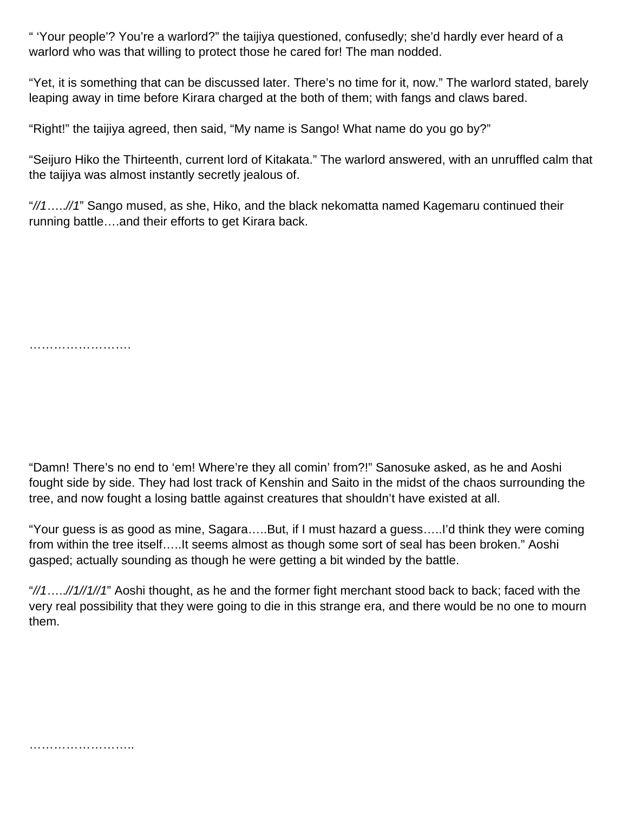" 'Your people'? You're a warlord?" the taijiya questioned, confusedly; she'd hardly ever heard of a warlord who was that willing to protect those he cared for! The man nodded.

"Yet, it is something that can be discussed later. There's no time for it, now." The warlord stated, barely leaping away in time before Kirara charged at the both of them; with fangs and claws bared.

"Right!" the taijiya agreed, then said, "My name is Sango! What name do you go by?"

"Seijuro Hiko the Thirteenth, current lord of Kitakata." The warlord answered, with an unruffled calm that the taijiya was almost instantly secretly jealous of.

"//1…..//1" Sango mused, as she, Hiko, and the black nekomatta named Kagemaru continued their running battle….and their efforts to get Kirara back.

…………………….

"Damn! There's no end to 'em! Where're they all comin' from?!" Sanosuke asked, as he and Aoshi fought side by side. They had lost track of Kenshin and Saito in the midst of the chaos surrounding the tree, and now fought a losing battle against creatures that shouldn't have existed at all.

"Your guess is as good as mine, Sagara…..But, if I must hazard a guess…..I'd think they were coming from within the tree itself…..It seems almost as though some sort of seal has been broken." Aoshi gasped; actually sounding as though he were getting a bit winded by the battle.

"//1.....//1//1//1" Aoshi thought, as he and the former fight merchant stood back to back; faced with the very real possibility that they were going to die in this strange era, and there would be no one to mourn them.

……………………..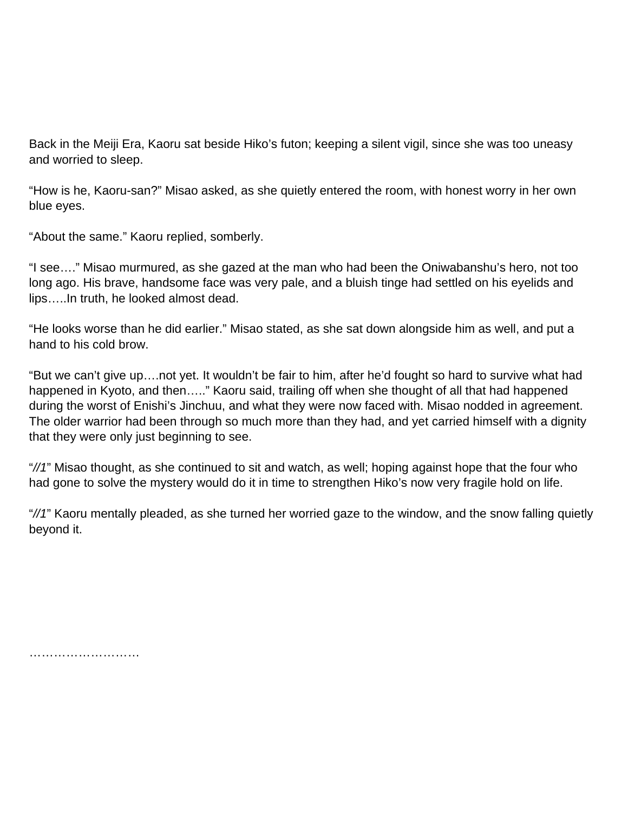Back in the Meiji Era, Kaoru sat beside Hiko's futon; keeping a silent vigil, since she was too uneasy and worried to sleep.

"How is he, Kaoru-san?" Misao asked, as she quietly entered the room, with honest worry in her own blue eyes.

"About the same." Kaoru replied, somberly.

"I see…." Misao murmured, as she gazed at the man who had been the Oniwabanshu's hero, not too long ago. His brave, handsome face was very pale, and a bluish tinge had settled on his eyelids and lips…..In truth, he looked almost dead.

"He looks worse than he did earlier." Misao stated, as she sat down alongside him as well, and put a hand to his cold brow.

"But we can't give up….not yet. It wouldn't be fair to him, after he'd fought so hard to survive what had happened in Kyoto, and then….." Kaoru said, trailing off when she thought of all that had happened during the worst of Enishi's Jinchuu, and what they were now faced with. Misao nodded in agreement. The older warrior had been through so much more than they had, and yet carried himself with a dignity that they were only just beginning to see.

"//1" Misao thought, as she continued to sit and watch, as well; hoping against hope that the four who had gone to solve the mystery would do it in time to strengthen Hiko's now very fragile hold on life.

"//1" Kaoru mentally pleaded, as she turned her worried gaze to the window, and the snow falling quietly beyond it.

……………………………………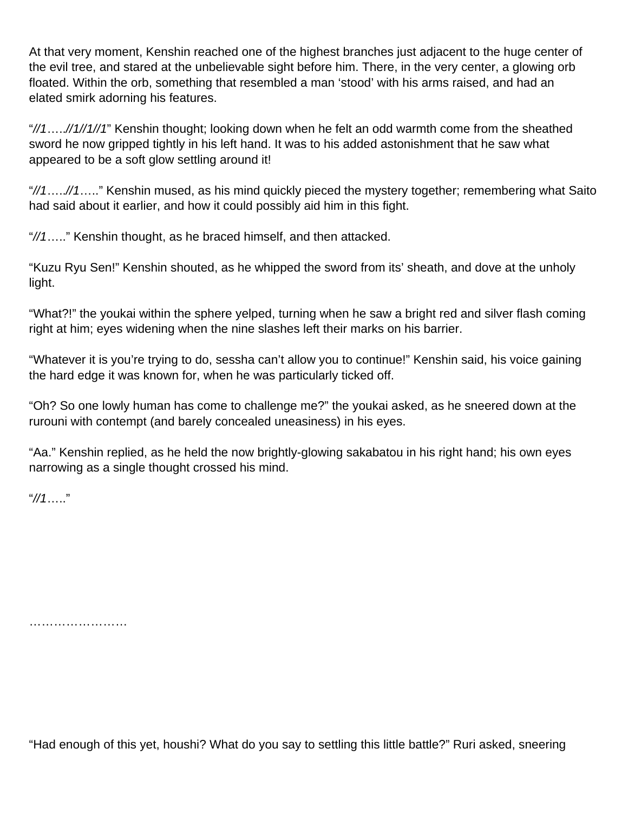At that very moment, Kenshin reached one of the highest branches just adjacent to the huge center of the evil tree, and stared at the unbelievable sight before him. There, in the very center, a glowing orb floated. Within the orb, something that resembled a man 'stood' with his arms raised, and had an elated smirk adorning his features.

"//1.....//1//1//1" Kenshin thought; looking down when he felt an odd warmth come from the sheathed sword he now gripped tightly in his left hand. It was to his added astonishment that he saw what appeared to be a soft glow settling around it!

"//1…..//1….." Kenshin mused, as his mind quickly pieced the mystery together; remembering what Saito had said about it earlier, and how it could possibly aid him in this fight.

"//1….." Kenshin thought, as he braced himself, and then attacked.

"Kuzu Ryu Sen!" Kenshin shouted, as he whipped the sword from its' sheath, and dove at the unholy light.

"What?!" the youkai within the sphere yelped, turning when he saw a bright red and silver flash coming right at him; eyes widening when the nine slashes left their marks on his barrier.

"Whatever it is you're trying to do, sessha can't allow you to continue!" Kenshin said, his voice gaining the hard edge it was known for, when he was particularly ticked off.

"Oh? So one lowly human has come to challenge me?" the youkai asked, as he sneered down at the rurouni with contempt (and barely concealed uneasiness) in his eyes.

"Aa." Kenshin replied, as he held the now brightly-glowing sakabatou in his right hand; his own eyes narrowing as a single thought crossed his mind.

"//1….."

…………………………

"Had enough of this yet, houshi? What do you say to settling this little battle?" Ruri asked, sneering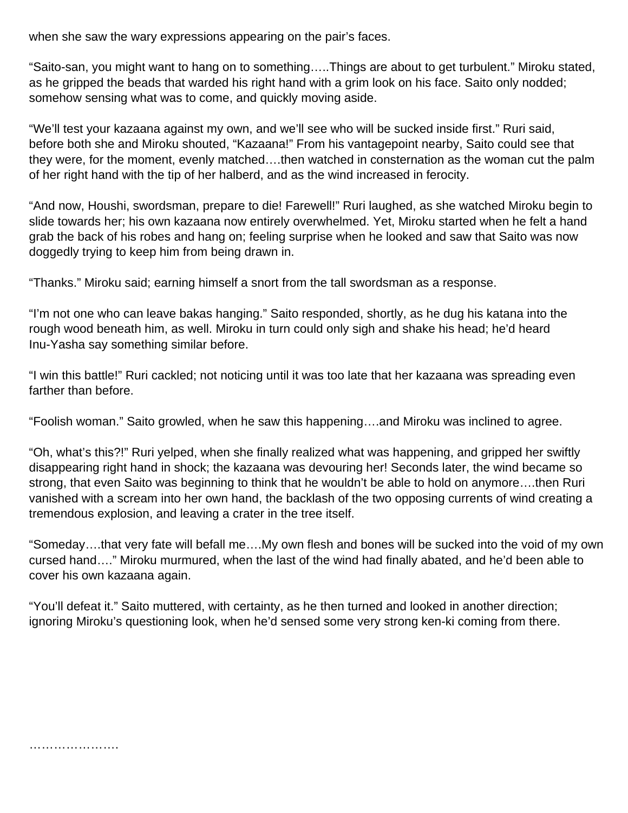when she saw the wary expressions appearing on the pair's faces.

"Saito-san, you might want to hang on to something…..Things are about to get turbulent." Miroku stated, as he gripped the beads that warded his right hand with a grim look on his face. Saito only nodded; somehow sensing what was to come, and quickly moving aside.

"We'll test your kazaana against my own, and we'll see who will be sucked inside first." Ruri said, before both she and Miroku shouted, "Kazaana!" From his vantagepoint nearby, Saito could see that they were, for the moment, evenly matched….then watched in consternation as the woman cut the palm of her right hand with the tip of her halberd, and as the wind increased in ferocity.

"And now, Houshi, swordsman, prepare to die! Farewell!" Ruri laughed, as she watched Miroku begin to slide towards her; his own kazaana now entirely overwhelmed. Yet, Miroku started when he felt a hand grab the back of his robes and hang on; feeling surprise when he looked and saw that Saito was now doggedly trying to keep him from being drawn in.

"Thanks." Miroku said; earning himself a snort from the tall swordsman as a response.

"I'm not one who can leave bakas hanging." Saito responded, shortly, as he dug his katana into the rough wood beneath him, as well. Miroku in turn could only sigh and shake his head; he'd heard Inu-Yasha say something similar before.

"I win this battle!" Ruri cackled; not noticing until it was too late that her kazaana was spreading even farther than before.

"Foolish woman." Saito growled, when he saw this happening….and Miroku was inclined to agree.

"Oh, what's this?!" Ruri yelped, when she finally realized what was happening, and gripped her swiftly disappearing right hand in shock; the kazaana was devouring her! Seconds later, the wind became so strong, that even Saito was beginning to think that he wouldn't be able to hold on anymore….then Ruri vanished with a scream into her own hand, the backlash of the two opposing currents of wind creating a tremendous explosion, and leaving a crater in the tree itself.

"Someday….that very fate will befall me….My own flesh and bones will be sucked into the void of my own cursed hand…." Miroku murmured, when the last of the wind had finally abated, and he'd been able to cover his own kazaana again.

"You'll defeat it." Saito muttered, with certainty, as he then turned and looked in another direction; ignoring Miroku's questioning look, when he'd sensed some very strong ken-ki coming from there.

. . . . . . . . . . . . . . . . . . . .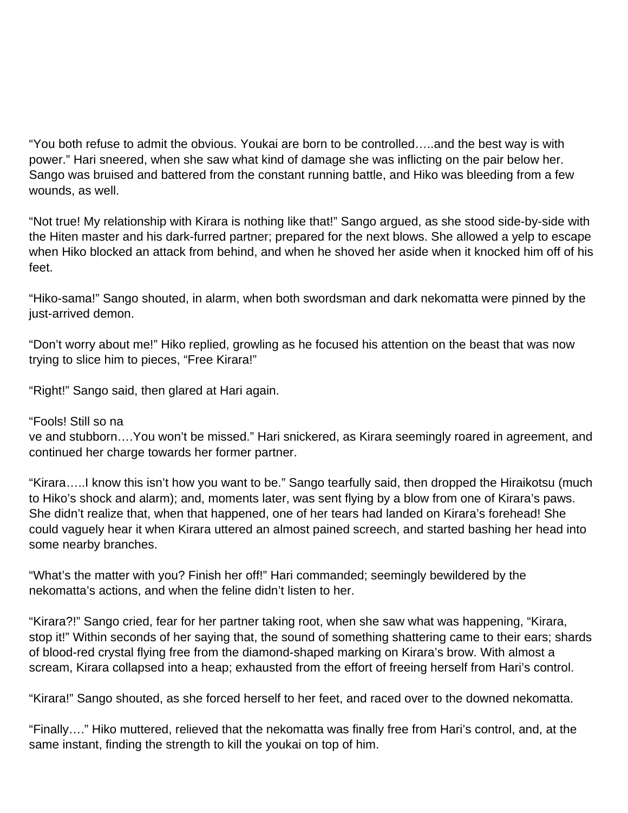"You both refuse to admit the obvious. Youkai are born to be controlled…..and the best way is with power." Hari sneered, when she saw what kind of damage she was inflicting on the pair below her. Sango was bruised and battered from the constant running battle, and Hiko was bleeding from a few wounds, as well.

"Not true! My relationship with Kirara is nothing like that!" Sango argued, as she stood side-by-side with the Hiten master and his dark-furred partner; prepared for the next blows. She allowed a yelp to escape when Hiko blocked an attack from behind, and when he shoved her aside when it knocked him off of his feet.

"Hiko-sama!" Sango shouted, in alarm, when both swordsman and dark nekomatta were pinned by the just-arrived demon.

"Don't worry about me!" Hiko replied, growling as he focused his attention on the beast that was now trying to slice him to pieces, "Free Kirara!"

"Right!" Sango said, then glared at Hari again.

"Fools! Still so na

ve and stubborn….You won't be missed." Hari snickered, as Kirara seemingly roared in agreement, and continued her charge towards her former partner.

"Kirara…..I know this isn't how you want to be." Sango tearfully said, then dropped the Hiraikotsu (much to Hiko's shock and alarm); and, moments later, was sent flying by a blow from one of Kirara's paws. She didn't realize that, when that happened, one of her tears had landed on Kirara's forehead! She could vaguely hear it when Kirara uttered an almost pained screech, and started bashing her head into some nearby branches.

"What's the matter with you? Finish her off!" Hari commanded; seemingly bewildered by the nekomatta's actions, and when the feline didn't listen to her.

"Kirara?!" Sango cried, fear for her partner taking root, when she saw what was happening, "Kirara, stop it!" Within seconds of her saying that, the sound of something shattering came to their ears; shards of blood-red crystal flying free from the diamond-shaped marking on Kirara's brow. With almost a scream, Kirara collapsed into a heap; exhausted from the effort of freeing herself from Hari's control.

"Kirara!" Sango shouted, as she forced herself to her feet, and raced over to the downed nekomatta.

"Finally…." Hiko muttered, relieved that the nekomatta was finally free from Hari's control, and, at the same instant, finding the strength to kill the youkai on top of him.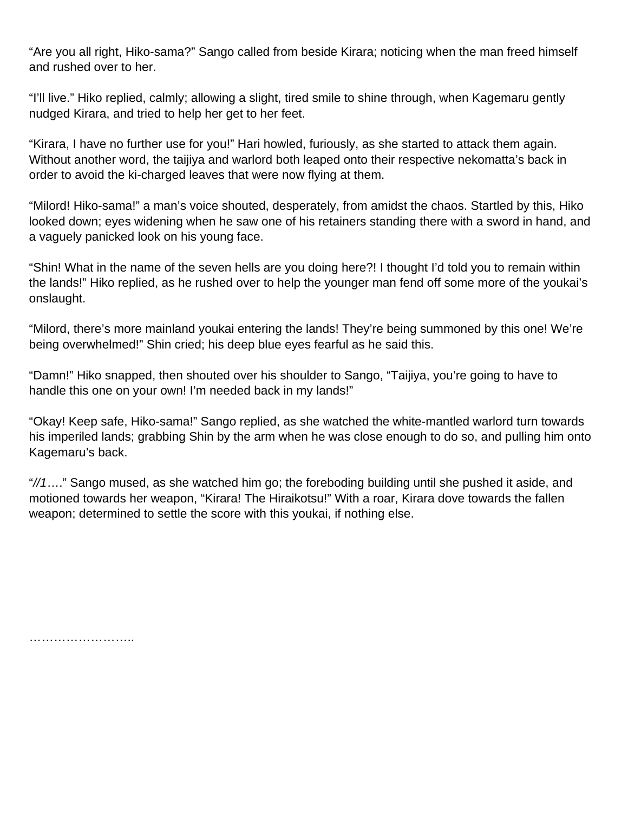"Are you all right, Hiko-sama?" Sango called from beside Kirara; noticing when the man freed himself and rushed over to her.

"I'll live." Hiko replied, calmly; allowing a slight, tired smile to shine through, when Kagemaru gently nudged Kirara, and tried to help her get to her feet.

"Kirara, I have no further use for you!" Hari howled, furiously, as she started to attack them again. Without another word, the taijiya and warlord both leaped onto their respective nekomatta's back in order to avoid the ki-charged leaves that were now flying at them.

"Milord! Hiko-sama!" a man's voice shouted, desperately, from amidst the chaos. Startled by this, Hiko looked down; eyes widening when he saw one of his retainers standing there with a sword in hand, and a vaguely panicked look on his young face.

"Shin! What in the name of the seven hells are you doing here?! I thought I'd told you to remain within the lands!" Hiko replied, as he rushed over to help the younger man fend off some more of the youkai's onslaught.

"Milord, there's more mainland youkai entering the lands! They're being summoned by this one! We're being overwhelmed!" Shin cried; his deep blue eyes fearful as he said this.

"Damn!" Hiko snapped, then shouted over his shoulder to Sango, "Taijiya, you're going to have to handle this one on your own! I'm needed back in my lands!"

"Okay! Keep safe, Hiko-sama!" Sango replied, as she watched the white-mantled warlord turn towards his imperiled lands; grabbing Shin by the arm when he was close enough to do so, and pulling him onto Kagemaru's back.

"//1…." Sango mused, as she watched him go; the foreboding building until she pushed it aside, and motioned towards her weapon, "Kirara! The Hiraikotsu!" With a roar, Kirara dove towards the fallen weapon; determined to settle the score with this youkai, if nothing else.

…………………………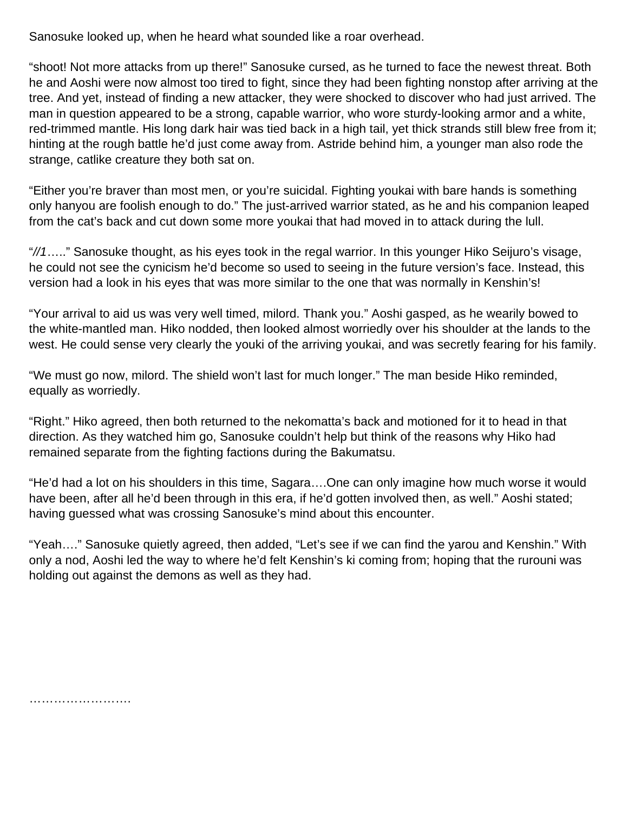Sanosuke looked up, when he heard what sounded like a roar overhead.

"shoot! Not more attacks from up there!" Sanosuke cursed, as he turned to face the newest threat. Both he and Aoshi were now almost too tired to fight, since they had been fighting nonstop after arriving at the tree. And yet, instead of finding a new attacker, they were shocked to discover who had just arrived. The man in question appeared to be a strong, capable warrior, who wore sturdy-looking armor and a white, red-trimmed mantle. His long dark hair was tied back in a high tail, yet thick strands still blew free from it; hinting at the rough battle he'd just come away from. Astride behind him, a younger man also rode the strange, catlike creature they both sat on.

"Either you're braver than most men, or you're suicidal. Fighting youkai with bare hands is something only hanyou are foolish enough to do." The just-arrived warrior stated, as he and his companion leaped from the cat's back and cut down some more youkai that had moved in to attack during the lull.

"//1….." Sanosuke thought, as his eyes took in the regal warrior. In this younger Hiko Seijuro's visage, he could not see the cynicism he'd become so used to seeing in the future version's face. Instead, this version had a look in his eyes that was more similar to the one that was normally in Kenshin's!

"Your arrival to aid us was very well timed, milord. Thank you." Aoshi gasped, as he wearily bowed to the white-mantled man. Hiko nodded, then looked almost worriedly over his shoulder at the lands to the west. He could sense very clearly the youki of the arriving youkai, and was secretly fearing for his family.

"We must go now, milord. The shield won't last for much longer." The man beside Hiko reminded, equally as worriedly.

"Right." Hiko agreed, then both returned to the nekomatta's back and motioned for it to head in that direction. As they watched him go, Sanosuke couldn't help but think of the reasons why Hiko had remained separate from the fighting factions during the Bakumatsu.

"He'd had a lot on his shoulders in this time, Sagara….One can only imagine how much worse it would have been, after all he'd been through in this era, if he'd gotten involved then, as well." Aoshi stated; having guessed what was crossing Sanosuke's mind about this encounter.

"Yeah…." Sanosuke quietly agreed, then added, "Let's see if we can find the yarou and Kenshin." With only a nod, Aoshi led the way to where he'd felt Kenshin's ki coming from; hoping that the rurouni was holding out against the demons as well as they had.

……………………………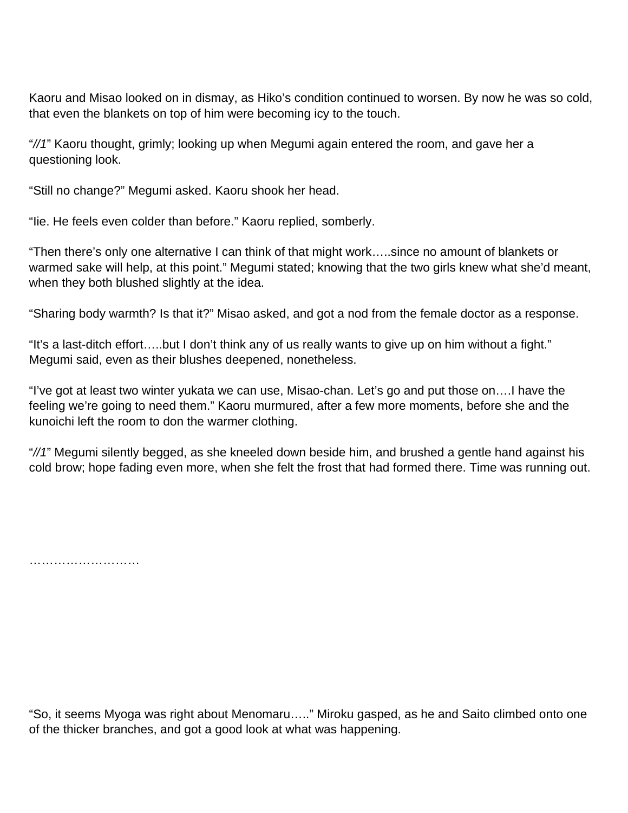Kaoru and Misao looked on in dismay, as Hiko's condition continued to worsen. By now he was so cold, that even the blankets on top of him were becoming icy to the touch.

"//1" Kaoru thought, grimly; looking up when Megumi again entered the room, and gave her a questioning look.

"Still no change?" Megumi asked. Kaoru shook her head.

"Iie. He feels even colder than before." Kaoru replied, somberly.

"Then there's only one alternative I can think of that might work…..since no amount of blankets or warmed sake will help, at this point." Megumi stated; knowing that the two girls knew what she'd meant, when they both blushed slightly at the idea.

"Sharing body warmth? Is that it?" Misao asked, and got a nod from the female doctor as a response.

"It's a last-ditch effort…..but I don't think any of us really wants to give up on him without a fight." Megumi said, even as their blushes deepened, nonetheless.

"I've got at least two winter yukata we can use, Misao-chan. Let's go and put those on….I have the feeling we're going to need them." Kaoru murmured, after a few more moments, before she and the kunoichi left the room to don the warmer clothing.

"//1" Megumi silently begged, as she kneeled down beside him, and brushed a gentle hand against his cold brow; hope fading even more, when she felt the frost that had formed there. Time was running out.

…………………………………

"So, it seems Myoga was right about Menomaru….." Miroku gasped, as he and Saito climbed onto one of the thicker branches, and got a good look at what was happening.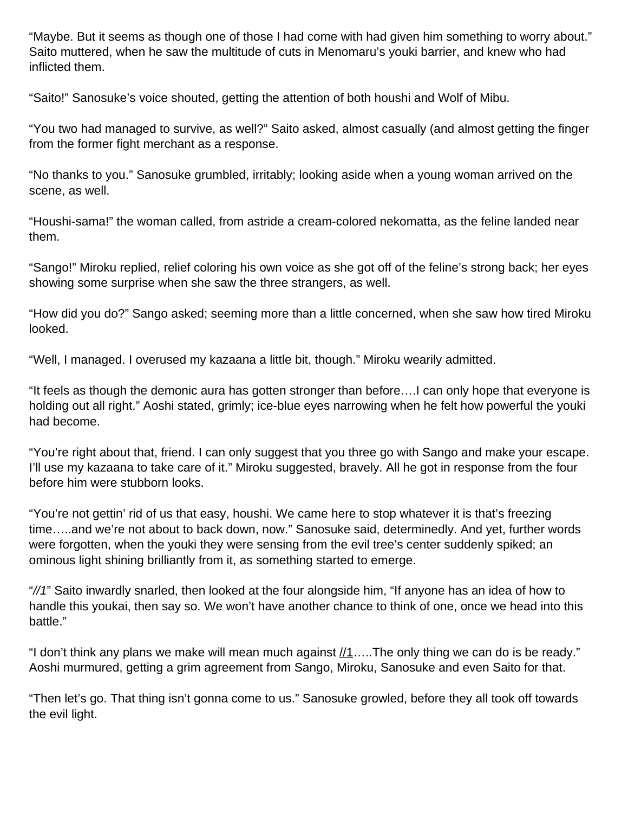"Maybe. But it seems as though one of those I had come with had given him something to worry about." Saito muttered, when he saw the multitude of cuts in Menomaru's youki barrier, and knew who had inflicted them.

"Saito!" Sanosuke's voice shouted, getting the attention of both houshi and Wolf of Mibu.

"You two had managed to survive, as well?" Saito asked, almost casually (and almost getting the finger from the former fight merchant as a response.

"No thanks to you." Sanosuke grumbled, irritably; looking aside when a young woman arrived on the scene, as well.

"Houshi-sama!" the woman called, from astride a cream-colored nekomatta, as the feline landed near them.

"Sango!" Miroku replied, relief coloring his own voice as she got off of the feline's strong back; her eyes showing some surprise when she saw the three strangers, as well.

"How did you do?" Sango asked; seeming more than a little concerned, when she saw how tired Miroku looked.

"Well, I managed. I overused my kazaana a little bit, though." Miroku wearily admitted.

"It feels as though the demonic aura has gotten stronger than before….I can only hope that everyone is holding out all right." Aoshi stated, grimly; ice-blue eyes narrowing when he felt how powerful the youki had become.

"You're right about that, friend. I can only suggest that you three go with Sango and make your escape. I'll use my kazaana to take care of it." Miroku suggested, bravely. All he got in response from the four before him were stubborn looks.

"You're not gettin' rid of us that easy, houshi. We came here to stop whatever it is that's freezing time…..and we're not about to back down, now." Sanosuke said, determinedly. And yet, further words were forgotten, when the youki they were sensing from the evil tree's center suddenly spiked; an ominous light shining brilliantly from it, as something started to emerge.

"//1" Saito inwardly snarled, then looked at the four alongside him, "If anyone has an idea of how to handle this youkai, then say so. We won't have another chance to think of one, once we head into this battle."

"I don't think any plans we make will mean much against  $\mu$ 1.....The only thing we can do is be ready." Aoshi murmured, getting a grim agreement from Sango, Miroku, Sanosuke and even Saito for that.

"Then let's go. That thing isn't gonna come to us." Sanosuke growled, before they all took off towards the evil light.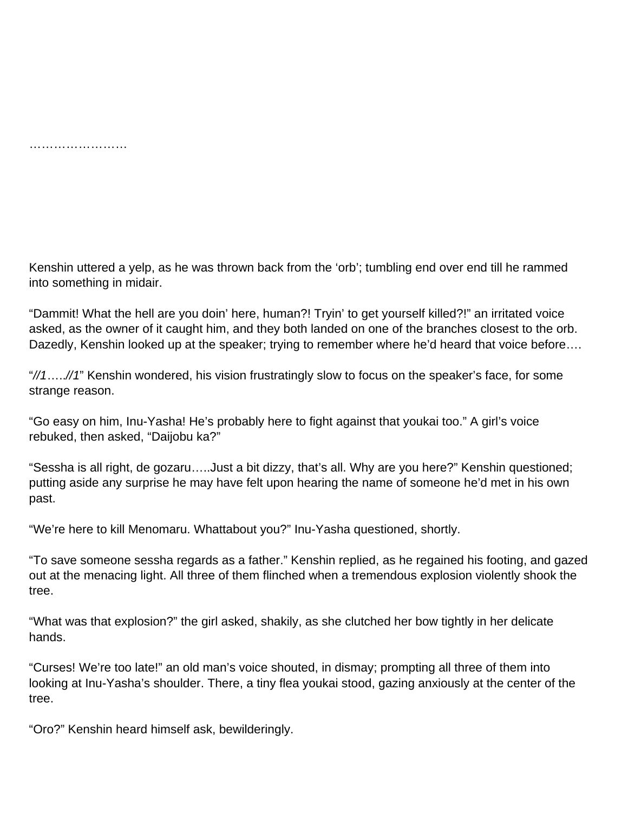…………………………

Kenshin uttered a yelp, as he was thrown back from the 'orb'; tumbling end over end till he rammed into something in midair.

"Dammit! What the hell are you doin' here, human?! Tryin' to get yourself killed?!" an irritated voice asked, as the owner of it caught him, and they both landed on one of the branches closest to the orb. Dazedly, Kenshin looked up at the speaker; trying to remember where he'd heard that voice before….

"//1…..//1" Kenshin wondered, his vision frustratingly slow to focus on the speaker's face, for some strange reason.

"Go easy on him, Inu-Yasha! He's probably here to fight against that youkai too." A girl's voice rebuked, then asked, "Daijobu ka?"

"Sessha is all right, de gozaru…..Just a bit dizzy, that's all. Why are you here?" Kenshin questioned; putting aside any surprise he may have felt upon hearing the name of someone he'd met in his own past.

"We're here to kill Menomaru. Whattabout you?" Inu-Yasha questioned, shortly.

"To save someone sessha regards as a father." Kenshin replied, as he regained his footing, and gazed out at the menacing light. All three of them flinched when a tremendous explosion violently shook the tree.

"What was that explosion?" the girl asked, shakily, as she clutched her bow tightly in her delicate hands.

"Curses! We're too late!" an old man's voice shouted, in dismay; prompting all three of them into looking at Inu-Yasha's shoulder. There, a tiny flea youkai stood, gazing anxiously at the center of the tree.

"Oro?" Kenshin heard himself ask, bewilderingly.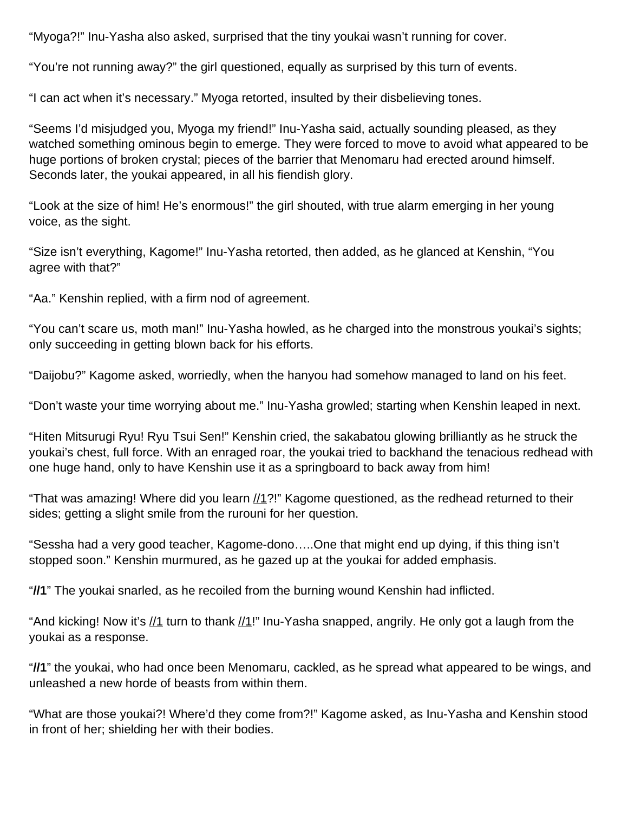"Myoga?!" Inu-Yasha also asked, surprised that the tiny youkai wasn't running for cover.

"You're not running away?" the girl questioned, equally as surprised by this turn of events.

"I can act when it's necessary." Myoga retorted, insulted by their disbelieving tones.

"Seems I'd misjudged you, Myoga my friend!" Inu-Yasha said, actually sounding pleased, as they watched something ominous begin to emerge. They were forced to move to avoid what appeared to be huge portions of broken crystal; pieces of the barrier that Menomaru had erected around himself. Seconds later, the youkai appeared, in all his fiendish glory.

"Look at the size of him! He's enormous!" the girl shouted, with true alarm emerging in her young voice, as the sight.

"Size isn't everything, Kagome!" Inu-Yasha retorted, then added, as he glanced at Kenshin, "You agree with that?"

"Aa." Kenshin replied, with a firm nod of agreement.

"You can't scare us, moth man!" Inu-Yasha howled, as he charged into the monstrous youkai's sights; only succeeding in getting blown back for his efforts.

"Daijobu?" Kagome asked, worriedly, when the hanyou had somehow managed to land on his feet.

"Don't waste your time worrying about me." Inu-Yasha growled; starting when Kenshin leaped in next.

"Hiten Mitsurugi Ryu! Ryu Tsui Sen!" Kenshin cried, the sakabatou glowing brilliantly as he struck the youkai's chest, full force. With an enraged roar, the youkai tried to backhand the tenacious redhead with one huge hand, only to have Kenshin use it as a springboard to back away from him!

"That was amazing! Where did you learn  $1/1$ ?!" Kagome questioned, as the redhead returned to their sides; getting a slight smile from the rurouni for her question.

"Sessha had a very good teacher, Kagome-dono…..One that might end up dying, if this thing isn't stopped soon." Kenshin murmured, as he gazed up at the youkai for added emphasis.

"**//1**" The youkai snarled, as he recoiled from the burning wound Kenshin had inflicted.

"And kicking! Now it's  $\frac{1}{1}$  turn to thank  $\frac{1}{1}$ !" Inu-Yasha snapped, angrily. He only got a laugh from the youkai as a response.

"**//1**" the youkai, who had once been Menomaru, cackled, as he spread what appeared to be wings, and unleashed a new horde of beasts from within them.

"What are those youkai?! Where'd they come from?!" Kagome asked, as Inu-Yasha and Kenshin stood in front of her; shielding her with their bodies.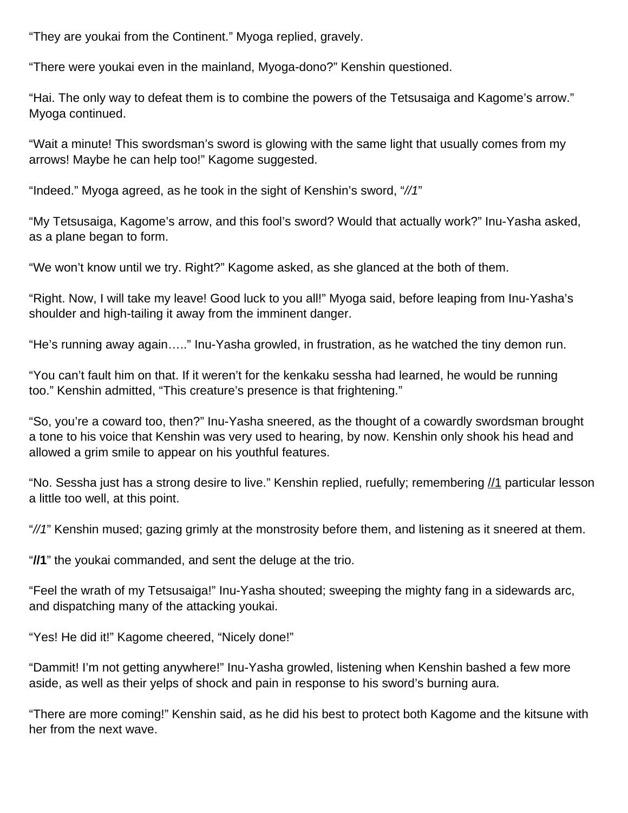"They are youkai from the Continent." Myoga replied, gravely.

"There were youkai even in the mainland, Myoga-dono?" Kenshin questioned.

"Hai. The only way to defeat them is to combine the powers of the Tetsusaiga and Kagome's arrow." Myoga continued.

"Wait a minute! This swordsman's sword is glowing with the same light that usually comes from my arrows! Maybe he can help too!" Kagome suggested.

"Indeed." Myoga agreed, as he took in the sight of Kenshin's sword, "//1"

"My Tetsusaiga, Kagome's arrow, and this fool's sword? Would that actually work?" Inu-Yasha asked, as a plane began to form.

"We won't know until we try. Right?" Kagome asked, as she glanced at the both of them.

"Right. Now, I will take my leave! Good luck to you all!" Myoga said, before leaping from Inu-Yasha's shoulder and high-tailing it away from the imminent danger.

"He's running away again….." Inu-Yasha growled, in frustration, as he watched the tiny demon run.

"You can't fault him on that. If it weren't for the kenkaku sessha had learned, he would be running too." Kenshin admitted, "This creature's presence is that frightening."

"So, you're a coward too, then?" Inu-Yasha sneered, as the thought of a cowardly swordsman brought a tone to his voice that Kenshin was very used to hearing, by now. Kenshin only shook his head and allowed a grim smile to appear on his youthful features.

"No. Sessha just has a strong desire to live." Kenshin replied, ruefully; remembering  $\frac{1}{1}$  particular lesson a little too well, at this point.

"//1" Kenshin mused; gazing grimly at the monstrosity before them, and listening as it sneered at them.

"**//1**" the youkai commanded, and sent the deluge at the trio.

"Feel the wrath of my Tetsusaiga!" Inu-Yasha shouted; sweeping the mighty fang in a sidewards arc, and dispatching many of the attacking youkai.

"Yes! He did it!" Kagome cheered, "Nicely done!"

"Dammit! I'm not getting anywhere!" Inu-Yasha growled, listening when Kenshin bashed a few more aside, as well as their yelps of shock and pain in response to his sword's burning aura.

"There are more coming!" Kenshin said, as he did his best to protect both Kagome and the kitsune with her from the next wave.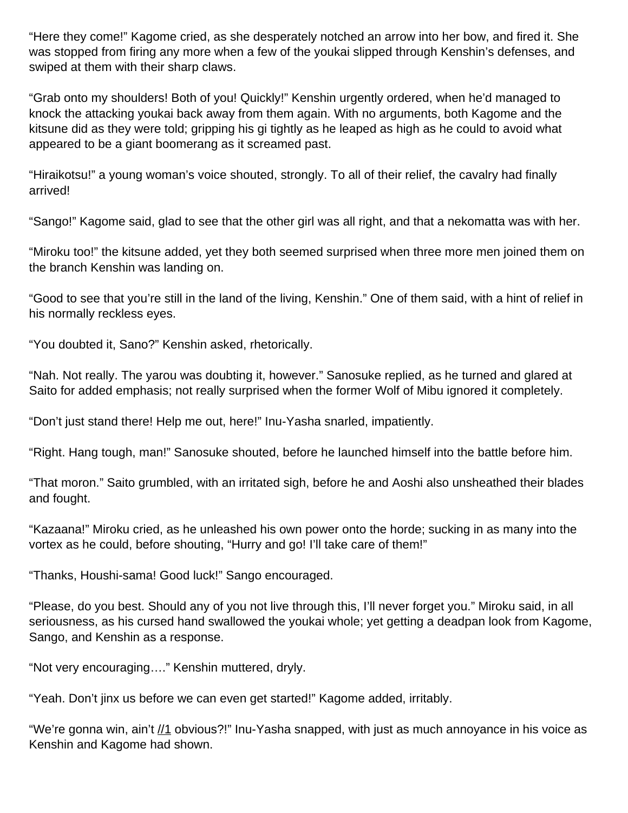"Here they come!" Kagome cried, as she desperately notched an arrow into her bow, and fired it. She was stopped from firing any more when a few of the youkai slipped through Kenshin's defenses, and swiped at them with their sharp claws.

"Grab onto my shoulders! Both of you! Quickly!" Kenshin urgently ordered, when he'd managed to knock the attacking youkai back away from them again. With no arguments, both Kagome and the kitsune did as they were told; gripping his gi tightly as he leaped as high as he could to avoid what appeared to be a giant boomerang as it screamed past.

"Hiraikotsu!" a young woman's voice shouted, strongly. To all of their relief, the cavalry had finally arrived!

"Sango!" Kagome said, glad to see that the other girl was all right, and that a nekomatta was with her.

"Miroku too!" the kitsune added, yet they both seemed surprised when three more men joined them on the branch Kenshin was landing on.

"Good to see that you're still in the land of the living, Kenshin." One of them said, with a hint of relief in his normally reckless eyes.

"You doubted it, Sano?" Kenshin asked, rhetorically.

"Nah. Not really. The yarou was doubting it, however." Sanosuke replied, as he turned and glared at Saito for added emphasis; not really surprised when the former Wolf of Mibu ignored it completely.

"Don't just stand there! Help me out, here!" Inu-Yasha snarled, impatiently.

"Right. Hang tough, man!" Sanosuke shouted, before he launched himself into the battle before him.

"That moron." Saito grumbled, with an irritated sigh, before he and Aoshi also unsheathed their blades and fought.

"Kazaana!" Miroku cried, as he unleashed his own power onto the horde; sucking in as many into the vortex as he could, before shouting, "Hurry and go! I'll take care of them!"

"Thanks, Houshi-sama! Good luck!" Sango encouraged.

"Please, do you best. Should any of you not live through this, I'll never forget you." Miroku said, in all seriousness, as his cursed hand swallowed the youkai whole; yet getting a deadpan look from Kagome, Sango, and Kenshin as a response.

"Not very encouraging…." Kenshin muttered, dryly.

"Yeah. Don't jinx us before we can even get started!" Kagome added, irritably.

"We're gonna win, ain't //1 obvious?!" Inu-Yasha snapped, with just as much annoyance in his voice as Kenshin and Kagome had shown.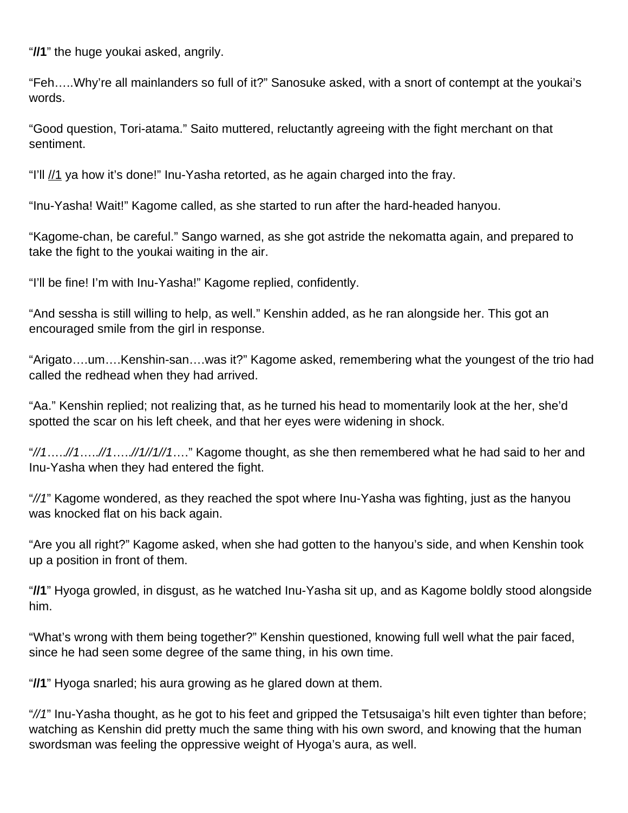"**//1**" the huge youkai asked, angrily.

"Feh…..Why're all mainlanders so full of it?" Sanosuke asked, with a snort of contempt at the youkai's words.

"Good question, Tori-atama." Saito muttered, reluctantly agreeing with the fight merchant on that sentiment.

"I'll  $\frac{1}{1}$  ya how it's done!" Inu-Yasha retorted, as he again charged into the fray.

"Inu-Yasha! Wait!" Kagome called, as she started to run after the hard-headed hanyou.

"Kagome-chan, be careful." Sango warned, as she got astride the nekomatta again, and prepared to take the fight to the youkai waiting in the air.

"I'll be fine! I'm with Inu-Yasha!" Kagome replied, confidently.

"And sessha is still willing to help, as well." Kenshin added, as he ran alongside her. This got an encouraged smile from the girl in response.

"Arigato….um….Kenshin-san….was it?" Kagome asked, remembering what the youngest of the trio had called the redhead when they had arrived.

"Aa." Kenshin replied; not realizing that, as he turned his head to momentarily look at the her, she'd spotted the scar on his left cheek, and that her eyes were widening in shock.

 $\frac{1}{1}$ .....//1…..//1….//1///1...." Kagome thought, as she then remembered what he had said to her and Inu-Yasha when they had entered the fight.

"//1" Kagome wondered, as they reached the spot where Inu-Yasha was fighting, just as the hanyou was knocked flat on his back again.

"Are you all right?" Kagome asked, when she had gotten to the hanyou's side, and when Kenshin took up a position in front of them.

"**//1**" Hyoga growled, in disgust, as he watched Inu-Yasha sit up, and as Kagome boldly stood alongside him.

"What's wrong with them being together?" Kenshin questioned, knowing full well what the pair faced, since he had seen some degree of the same thing, in his own time.

"**//1**" Hyoga snarled; his aura growing as he glared down at them.

"//1" Inu-Yasha thought, as he got to his feet and gripped the Tetsusaiga's hilt even tighter than before; watching as Kenshin did pretty much the same thing with his own sword, and knowing that the human swordsman was feeling the oppressive weight of Hyoga's aura, as well.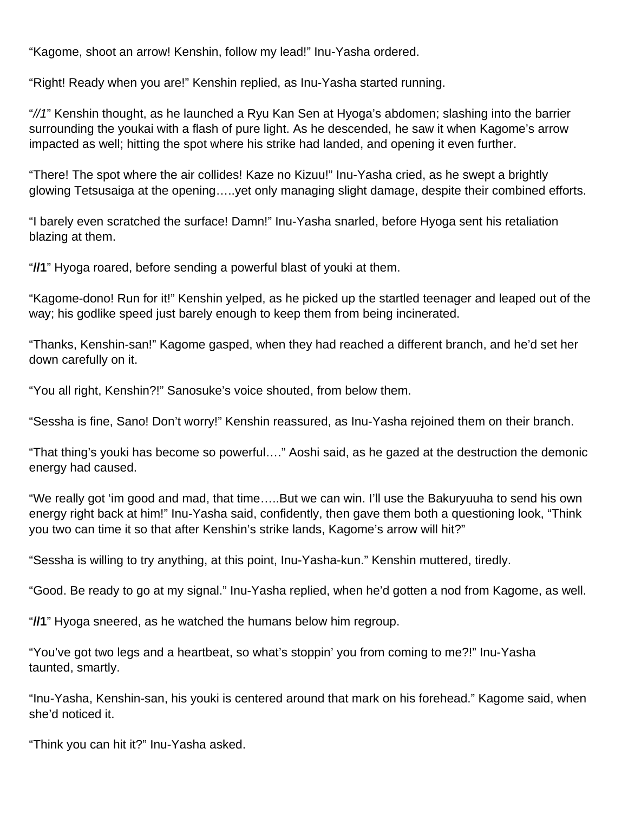"Kagome, shoot an arrow! Kenshin, follow my lead!" Inu-Yasha ordered.

"Right! Ready when you are!" Kenshin replied, as Inu-Yasha started running.

"//1" Kenshin thought, as he launched a Ryu Kan Sen at Hyoga's abdomen; slashing into the barrier surrounding the youkai with a flash of pure light. As he descended, he saw it when Kagome's arrow impacted as well; hitting the spot where his strike had landed, and opening it even further.

"There! The spot where the air collides! Kaze no Kizuu!" Inu-Yasha cried, as he swept a brightly glowing Tetsusaiga at the opening…..yet only managing slight damage, despite their combined efforts.

"I barely even scratched the surface! Damn!" Inu-Yasha snarled, before Hyoga sent his retaliation blazing at them.

"**//1**" Hyoga roared, before sending a powerful blast of youki at them.

"Kagome-dono! Run for it!" Kenshin yelped, as he picked up the startled teenager and leaped out of the way; his godlike speed just barely enough to keep them from being incinerated.

"Thanks, Kenshin-san!" Kagome gasped, when they had reached a different branch, and he'd set her down carefully on it.

"You all right, Kenshin?!" Sanosuke's voice shouted, from below them.

"Sessha is fine, Sano! Don't worry!" Kenshin reassured, as Inu-Yasha rejoined them on their branch.

"That thing's youki has become so powerful…." Aoshi said, as he gazed at the destruction the demonic energy had caused.

"We really got 'im good and mad, that time…..But we can win. I'll use the Bakuryuuha to send his own energy right back at him!" Inu-Yasha said, confidently, then gave them both a questioning look, "Think you two can time it so that after Kenshin's strike lands, Kagome's arrow will hit?"

"Sessha is willing to try anything, at this point, Inu-Yasha-kun." Kenshin muttered, tiredly.

"Good. Be ready to go at my signal." Inu-Yasha replied, when he'd gotten a nod from Kagome, as well.

"**//1**" Hyoga sneered, as he watched the humans below him regroup.

"You've got two legs and a heartbeat, so what's stoppin' you from coming to me?!" Inu-Yasha taunted, smartly.

"Inu-Yasha, Kenshin-san, his youki is centered around that mark on his forehead." Kagome said, when she'd noticed it.

"Think you can hit it?" Inu-Yasha asked.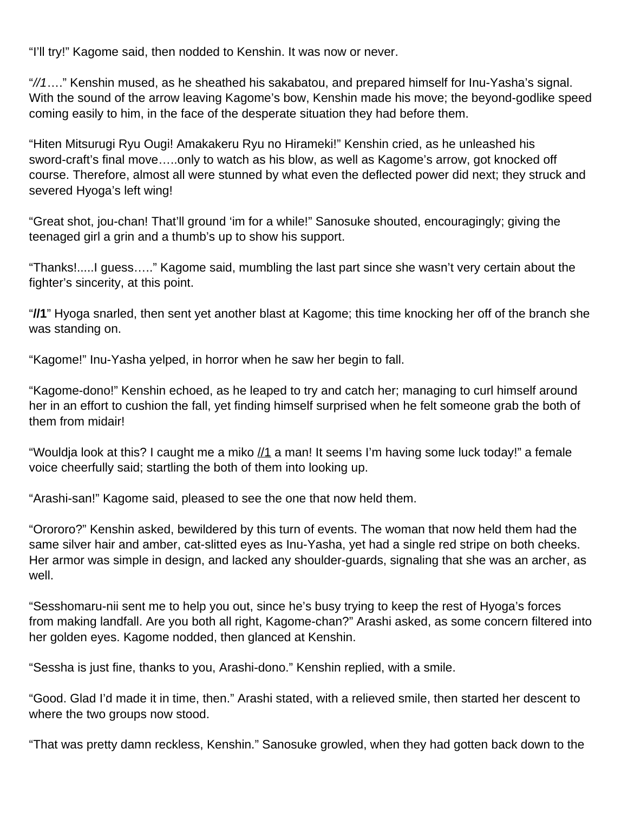"I'll try!" Kagome said, then nodded to Kenshin. It was now or never.

"//1…." Kenshin mused, as he sheathed his sakabatou, and prepared himself for Inu-Yasha's signal. With the sound of the arrow leaving Kagome's bow, Kenshin made his move; the beyond-godlike speed coming easily to him, in the face of the desperate situation they had before them.

"Hiten Mitsurugi Ryu Ougi! Amakakeru Ryu no Hirameki!" Kenshin cried, as he unleashed his sword-craft's final move…..only to watch as his blow, as well as Kagome's arrow, got knocked off course. Therefore, almost all were stunned by what even the deflected power did next; they struck and severed Hyoga's left wing!

"Great shot, jou-chan! That'll ground 'im for a while!" Sanosuke shouted, encouragingly; giving the teenaged girl a grin and a thumb's up to show his support.

"Thanks!.....I guess….." Kagome said, mumbling the last part since she wasn't very certain about the fighter's sincerity, at this point.

"**//1**" Hyoga snarled, then sent yet another blast at Kagome; this time knocking her off of the branch she was standing on.

"Kagome!" Inu-Yasha yelped, in horror when he saw her begin to fall.

"Kagome-dono!" Kenshin echoed, as he leaped to try and catch her; managing to curl himself around her in an effort to cushion the fall, yet finding himself surprised when he felt someone grab the both of them from midair!

"Wouldia look at this? I caught me a miko  $\frac{1}{1}$  a man! It seems I'm having some luck today!" a female voice cheerfully said; startling the both of them into looking up.

"Arashi-san!" Kagome said, pleased to see the one that now held them.

"Orororo?" Kenshin asked, bewildered by this turn of events. The woman that now held them had the same silver hair and amber, cat-slitted eyes as Inu-Yasha, yet had a single red stripe on both cheeks. Her armor was simple in design, and lacked any shoulder-guards, signaling that she was an archer, as well.

"Sesshomaru-nii sent me to help you out, since he's busy trying to keep the rest of Hyoga's forces from making landfall. Are you both all right, Kagome-chan?" Arashi asked, as some concern filtered into her golden eyes. Kagome nodded, then glanced at Kenshin.

"Sessha is just fine, thanks to you, Arashi-dono." Kenshin replied, with a smile.

"Good. Glad I'd made it in time, then." Arashi stated, with a relieved smile, then started her descent to where the two groups now stood.

"That was pretty damn reckless, Kenshin." Sanosuke growled, when they had gotten back down to the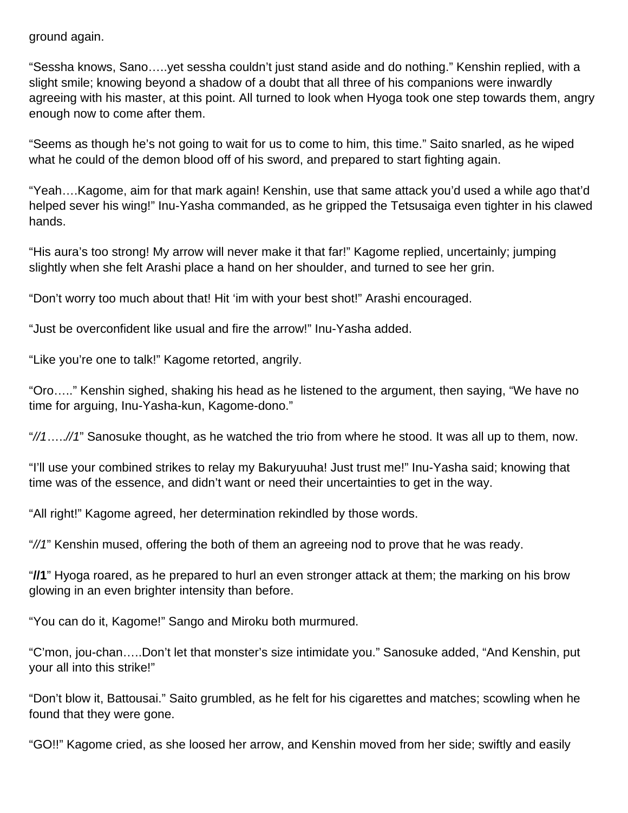ground again.

"Sessha knows, Sano…..yet sessha couldn't just stand aside and do nothing." Kenshin replied, with a slight smile; knowing beyond a shadow of a doubt that all three of his companions were inwardly agreeing with his master, at this point. All turned to look when Hyoga took one step towards them, angry enough now to come after them.

"Seems as though he's not going to wait for us to come to him, this time." Saito snarled, as he wiped what he could of the demon blood off of his sword, and prepared to start fighting again.

"Yeah….Kagome, aim for that mark again! Kenshin, use that same attack you'd used a while ago that'd helped sever his wing!" Inu-Yasha commanded, as he gripped the Tetsusaiga even tighter in his clawed hands.

"His aura's too strong! My arrow will never make it that far!" Kagome replied, uncertainly; jumping slightly when she felt Arashi place a hand on her shoulder, and turned to see her grin.

"Don't worry too much about that! Hit 'im with your best shot!" Arashi encouraged.

"Just be overconfident like usual and fire the arrow!" Inu-Yasha added.

"Like you're one to talk!" Kagome retorted, angrily.

"Oro….." Kenshin sighed, shaking his head as he listened to the argument, then saying, "We have no time for arguing, Inu-Yasha-kun, Kagome-dono."

 $\frac{4}{1}$ .....//1" Sanosuke thought, as he watched the trio from where he stood. It was all up to them, now.

"I'll use your combined strikes to relay my Bakuryuuha! Just trust me!" Inu-Yasha said; knowing that time was of the essence, and didn't want or need their uncertainties to get in the way.

"All right!" Kagome agreed, her determination rekindled by those words.

"//1" Kenshin mused, offering the both of them an agreeing nod to prove that he was ready.

"**//1**" Hyoga roared, as he prepared to hurl an even stronger attack at them; the marking on his brow glowing in an even brighter intensity than before.

"You can do it, Kagome!" Sango and Miroku both murmured.

"C'mon, jou-chan…..Don't let that monster's size intimidate you." Sanosuke added, "And Kenshin, put your all into this strike!"

"Don't blow it, Battousai." Saito grumbled, as he felt for his cigarettes and matches; scowling when he found that they were gone.

"GO!!" Kagome cried, as she loosed her arrow, and Kenshin moved from her side; swiftly and easily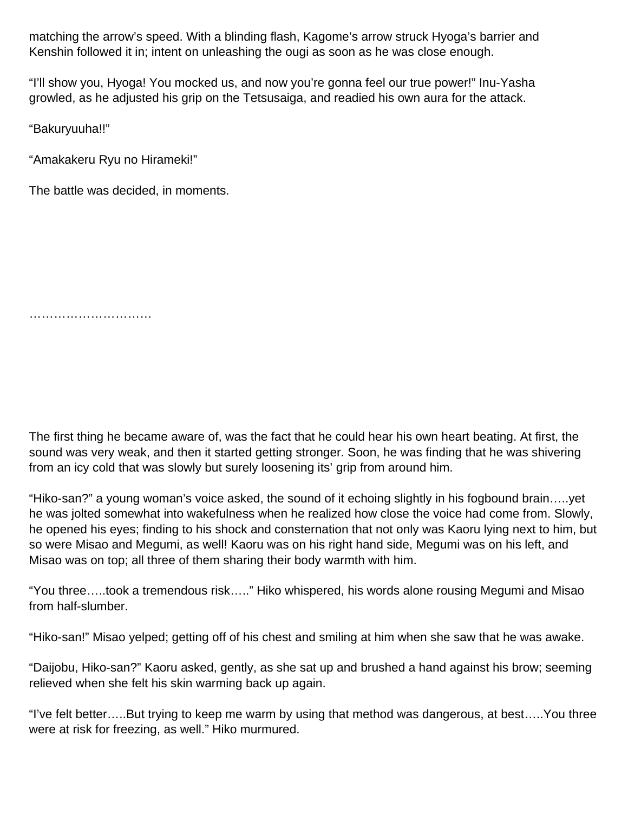matching the arrow's speed. With a blinding flash, Kagome's arrow struck Hyoga's barrier and Kenshin followed it in; intent on unleashing the ougi as soon as he was close enough.

"I'll show you, Hyoga! You mocked us, and now you're gonna feel our true power!" Inu-Yasha growled, as he adjusted his grip on the Tetsusaiga, and readied his own aura for the attack.

"Bakuryuuha!!"

"Amakakeru Ryu no Hirameki!"

The battle was decided, in moments.

………………………………………

The first thing he became aware of, was the fact that he could hear his own heart beating. At first, the sound was very weak, and then it started getting stronger. Soon, he was finding that he was shivering from an icy cold that was slowly but surely loosening its' grip from around him.

"Hiko-san?" a young woman's voice asked, the sound of it echoing slightly in his fogbound brain…..yet he was jolted somewhat into wakefulness when he realized how close the voice had come from. Slowly, he opened his eyes; finding to his shock and consternation that not only was Kaoru lying next to him, but so were Misao and Megumi, as well! Kaoru was on his right hand side, Megumi was on his left, and Misao was on top; all three of them sharing their body warmth with him.

"You three…..took a tremendous risk….." Hiko whispered, his words alone rousing Megumi and Misao from half-slumber.

"Hiko-san!" Misao yelped; getting off of his chest and smiling at him when she saw that he was awake.

"Daijobu, Hiko-san?" Kaoru asked, gently, as she sat up and brushed a hand against his brow; seeming relieved when she felt his skin warming back up again.

"I've felt better…..But trying to keep me warm by using that method was dangerous, at best…..You three were at risk for freezing, as well." Hiko murmured.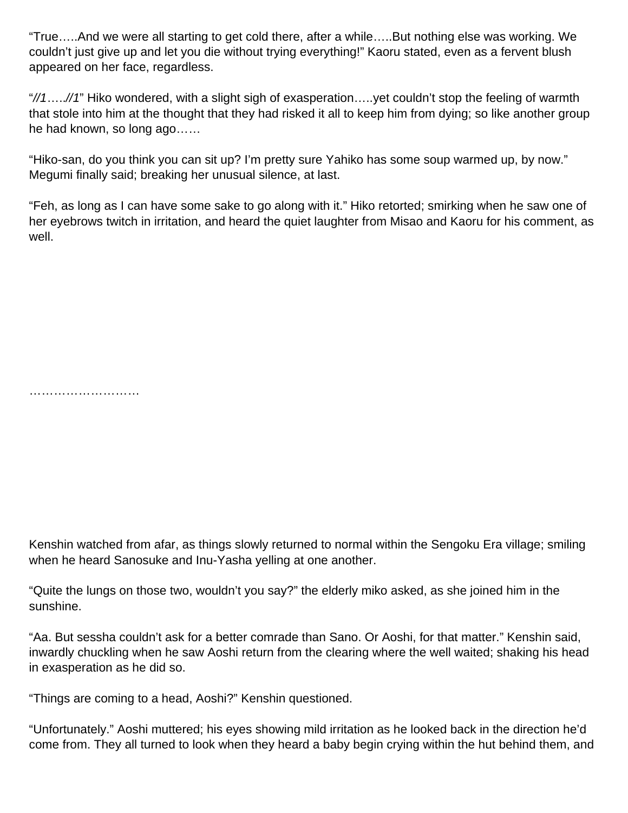"True…..And we were all starting to get cold there, after a while…..But nothing else was working. We couldn't just give up and let you die without trying everything!" Kaoru stated, even as a fervent blush appeared on her face, regardless.

"//1.....//1" Hiko wondered, with a slight sigh of exasperation.....yet couldn't stop the feeling of warmth that stole into him at the thought that they had risked it all to keep him from dying; so like another group he had known, so long ago……

"Hiko-san, do you think you can sit up? I'm pretty sure Yahiko has some soup warmed up, by now." Megumi finally said; breaking her unusual silence, at last.

"Feh, as long as I can have some sake to go along with it." Hiko retorted; smirking when he saw one of her eyebrows twitch in irritation, and heard the quiet laughter from Misao and Kaoru for his comment, as well.

………………………………

Kenshin watched from afar, as things slowly returned to normal within the Sengoku Era village; smiling when he heard Sanosuke and Inu-Yasha yelling at one another.

"Quite the lungs on those two, wouldn't you say?" the elderly miko asked, as she joined him in the sunshine.

"Aa. But sessha couldn't ask for a better comrade than Sano. Or Aoshi, for that matter." Kenshin said, inwardly chuckling when he saw Aoshi return from the clearing where the well waited; shaking his head in exasperation as he did so.

"Things are coming to a head, Aoshi?" Kenshin questioned.

"Unfortunately." Aoshi muttered; his eyes showing mild irritation as he looked back in the direction he'd come from. They all turned to look when they heard a baby begin crying within the hut behind them, and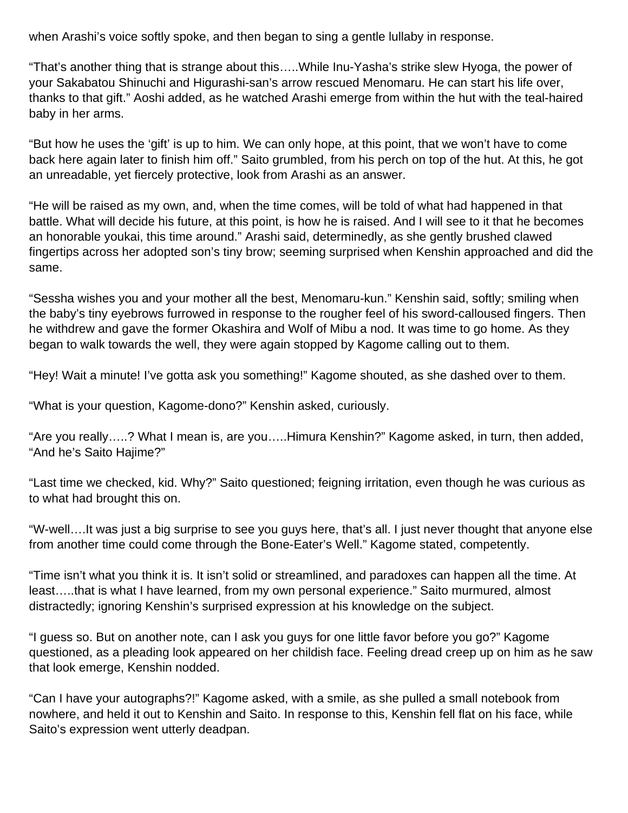when Arashi's voice softly spoke, and then began to sing a gentle lullaby in response.

"That's another thing that is strange about this…..While Inu-Yasha's strike slew Hyoga, the power of your Sakabatou Shinuchi and Higurashi-san's arrow rescued Menomaru. He can start his life over, thanks to that gift." Aoshi added, as he watched Arashi emerge from within the hut with the teal-haired baby in her arms.

"But how he uses the 'gift' is up to him. We can only hope, at this point, that we won't have to come back here again later to finish him off." Saito grumbled, from his perch on top of the hut. At this, he got an unreadable, yet fiercely protective, look from Arashi as an answer.

"He will be raised as my own, and, when the time comes, will be told of what had happened in that battle. What will decide his future, at this point, is how he is raised. And I will see to it that he becomes an honorable youkai, this time around." Arashi said, determinedly, as she gently brushed clawed fingertips across her adopted son's tiny brow; seeming surprised when Kenshin approached and did the same.

"Sessha wishes you and your mother all the best, Menomaru-kun." Kenshin said, softly; smiling when the baby's tiny eyebrows furrowed in response to the rougher feel of his sword-calloused fingers. Then he withdrew and gave the former Okashira and Wolf of Mibu a nod. It was time to go home. As they began to walk towards the well, they were again stopped by Kagome calling out to them.

"Hey! Wait a minute! I've gotta ask you something!" Kagome shouted, as she dashed over to them.

"What is your question, Kagome-dono?" Kenshin asked, curiously.

"Are you really…..? What I mean is, are you…..Himura Kenshin?" Kagome asked, in turn, then added, "And he's Saito Hajime?"

"Last time we checked, kid. Why?" Saito questioned; feigning irritation, even though he was curious as to what had brought this on.

"W-well….It was just a big surprise to see you guys here, that's all. I just never thought that anyone else from another time could come through the Bone-Eater's Well." Kagome stated, competently.

"Time isn't what you think it is. It isn't solid or streamlined, and paradoxes can happen all the time. At least…..that is what I have learned, from my own personal experience." Saito murmured, almost distractedly; ignoring Kenshin's surprised expression at his knowledge on the subject.

"I guess so. But on another note, can I ask you guys for one little favor before you go?" Kagome questioned, as a pleading look appeared on her childish face. Feeling dread creep up on him as he saw that look emerge, Kenshin nodded.

"Can I have your autographs?!" Kagome asked, with a smile, as she pulled a small notebook from nowhere, and held it out to Kenshin and Saito. In response to this, Kenshin fell flat on his face, while Saito's expression went utterly deadpan.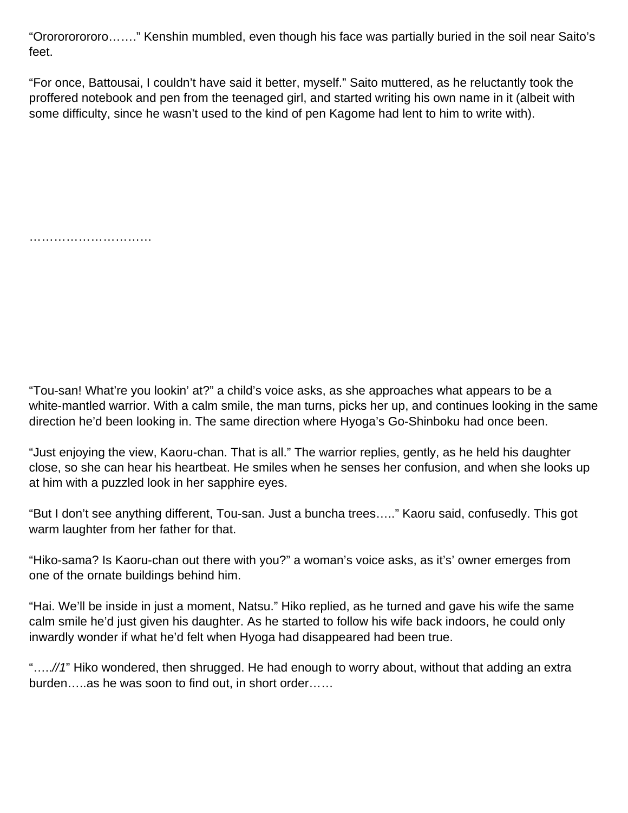"Ororororororo……." Kenshin mumbled, even though his face was partially buried in the soil near Saito's feet.

"For once, Battousai, I couldn't have said it better, myself." Saito muttered, as he reluctantly took the proffered notebook and pen from the teenaged girl, and started writing his own name in it (albeit with some difficulty, since he wasn't used to the kind of pen Kagome had lent to him to write with).

………………………………………

"Tou-san! What're you lookin' at?" a child's voice asks, as she approaches what appears to be a white-mantled warrior. With a calm smile, the man turns, picks her up, and continues looking in the same direction he'd been looking in. The same direction where Hyoga's Go-Shinboku had once been.

"Just enjoying the view, Kaoru-chan. That is all." The warrior replies, gently, as he held his daughter close, so she can hear his heartbeat. He smiles when he senses her confusion, and when she looks up at him with a puzzled look in her sapphire eyes.

"But I don't see anything different, Tou-san. Just a buncha trees….." Kaoru said, confusedly. This got warm laughter from her father for that.

"Hiko-sama? Is Kaoru-chan out there with you?" a woman's voice asks, as it's' owner emerges from one of the ornate buildings behind him.

"Hai. We'll be inside in just a moment, Natsu." Hiko replied, as he turned and gave his wife the same calm smile he'd just given his daughter. As he started to follow his wife back indoors, he could only inwardly wonder if what he'd felt when Hyoga had disappeared had been true.

"…..//1" Hiko wondered, then shrugged. He had enough to worry about, without that adding an extra burden…..as he was soon to find out, in short order……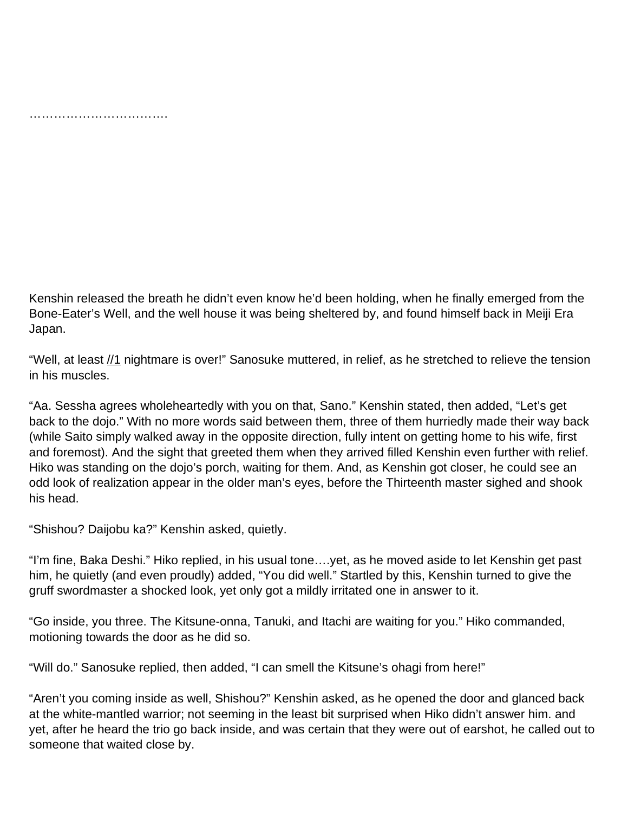…………………………………………

Kenshin released the breath he didn't even know he'd been holding, when he finally emerged from the Bone-Eater's Well, and the well house it was being sheltered by, and found himself back in Meiji Era Japan.

"Well, at least  $\frac{1}{1}$  nightmare is over!" Sanosuke muttered, in relief, as he stretched to relieve the tension in his muscles.

"Aa. Sessha agrees wholeheartedly with you on that, Sano." Kenshin stated, then added, "Let's get back to the dojo." With no more words said between them, three of them hurriedly made their way back (while Saito simply walked away in the opposite direction, fully intent on getting home to his wife, first and foremost). And the sight that greeted them when they arrived filled Kenshin even further with relief. Hiko was standing on the dojo's porch, waiting for them. And, as Kenshin got closer, he could see an odd look of realization appear in the older man's eyes, before the Thirteenth master sighed and shook his head.

"Shishou? Daijobu ka?" Kenshin asked, quietly.

"I'm fine, Baka Deshi." Hiko replied, in his usual tone….yet, as he moved aside to let Kenshin get past him, he quietly (and even proudly) added, "You did well." Startled by this, Kenshin turned to give the gruff swordmaster a shocked look, yet only got a mildly irritated one in answer to it.

"Go inside, you three. The Kitsune-onna, Tanuki, and Itachi are waiting for you." Hiko commanded, motioning towards the door as he did so.

"Will do." Sanosuke replied, then added, "I can smell the Kitsune's ohagi from here!"

"Aren't you coming inside as well, Shishou?" Kenshin asked, as he opened the door and glanced back at the white-mantled warrior; not seeming in the least bit surprised when Hiko didn't answer him. and yet, after he heard the trio go back inside, and was certain that they were out of earshot, he called out to someone that waited close by.